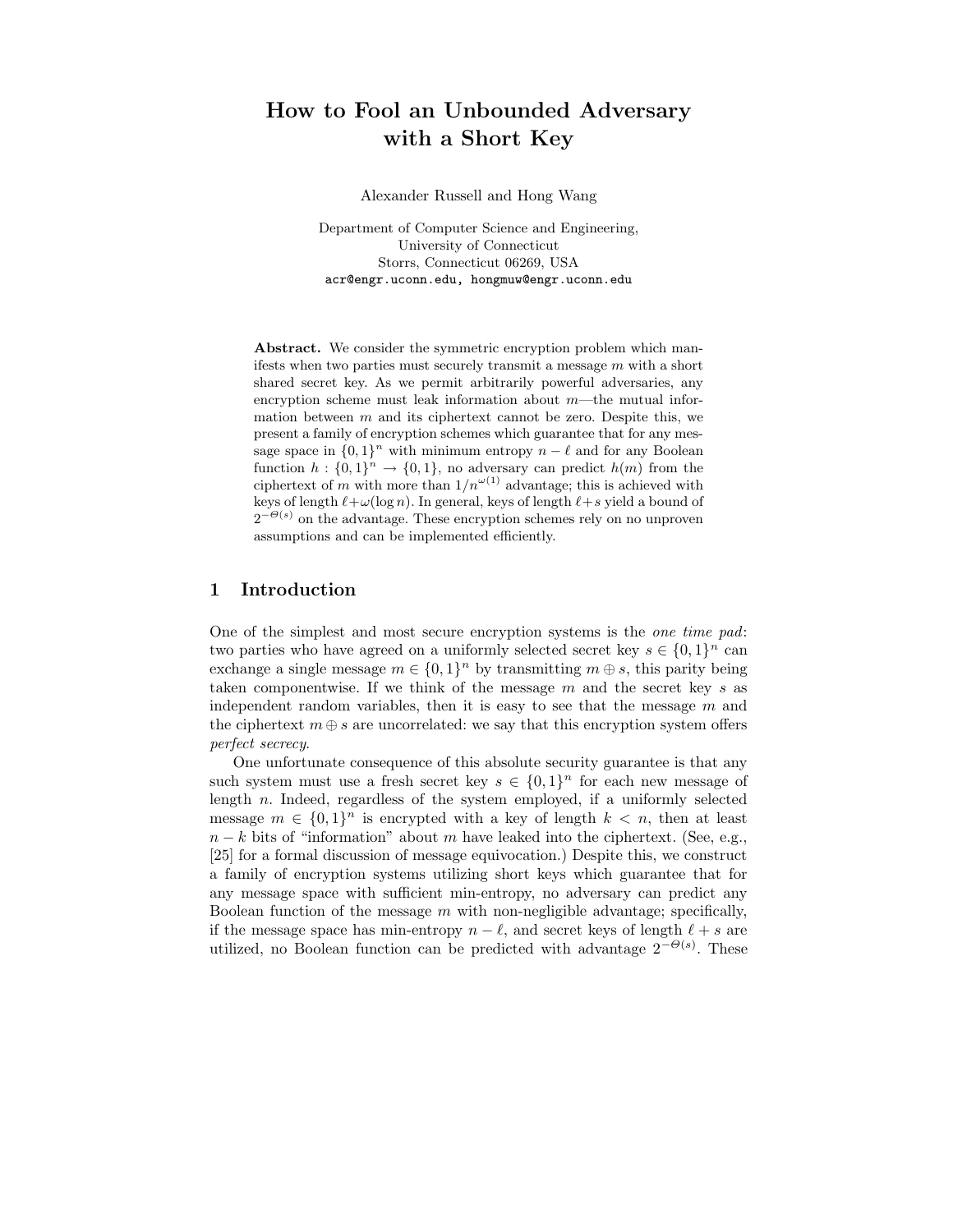# How to Fool an Unbounded Adversary with a Short Key

Alexander Russell and Hong Wang

Department of Computer Science and Engineering, University of Connecticut Storrs, Connecticut 06269, USA acr@engr.uconn.edu, hongmuw@engr.uconn.edu

Abstract. We consider the symmetric encryption problem which manifests when two parties must securely transmit a message m with a short shared secret key. As we permit arbitrarily powerful adversaries, any encryption scheme must leak information about  $m$ —the mutual information between  $m$  and its ciphertext cannot be zero. Despite this, we present a family of encryption schemes which guarantee that for any message space in  $\{0,1\}^n$  with minimum entropy  $n - \ell$  and for any Boolean function  $h: \{0,1\}^n \to \{0,1\}$ , no adversary can predict  $h(m)$  from the ciphertext of m with more than  $1/n^{\omega(1)}$  advantage; this is achieved with keys of length  $\ell + \omega(\log n)$ . In general, keys of length  $\ell + s$  yield a bound of  $2^{-\Theta(s)}$  on the advantage. These encryption schemes rely on no unproven assumptions and can be implemented efficiently.

# 1 Introduction

One of the simplest and most secure encryption systems is the one time pad: two parties who have agreed on a uniformly selected secret key  $s \in \{0,1\}^n$  can exchange a single message  $m \in \{0,1\}^n$  by transmitting  $m \oplus s$ , this parity being taken componentwise. If we think of the message  $m$  and the secret key  $s$  as independent random variables, then it is easy to see that the message  $m$  and the ciphertext  $m \oplus s$  are uncorrelated: we say that this encryption system offers perfect secrecy.

One unfortunate consequence of this absolute security guarantee is that any such system must use a fresh secret key  $s \in \{0,1\}^n$  for each new message of length n. Indeed, regardless of the system employed, if a uniformly selected message  $m \in \{0,1\}^n$  is encrypted with a key of length  $k < n$ , then at least  $n - k$  bits of "information" about m have leaked into the ciphertext. (See, e.g., [25] for a formal discussion of message equivocation.) Despite this, we construct a family of encryption systems utilizing short keys which guarantee that for any message space with sufficient min-entropy, no adversary can predict any Boolean function of the message  $m$  with non-negligible advantage; specifically, if the message space has min-entropy  $n - \ell$ , and secret keys of length  $\ell + s$  are utilized, no Boolean function can be predicted with advantage  $2^{-\Theta(s)}$ . These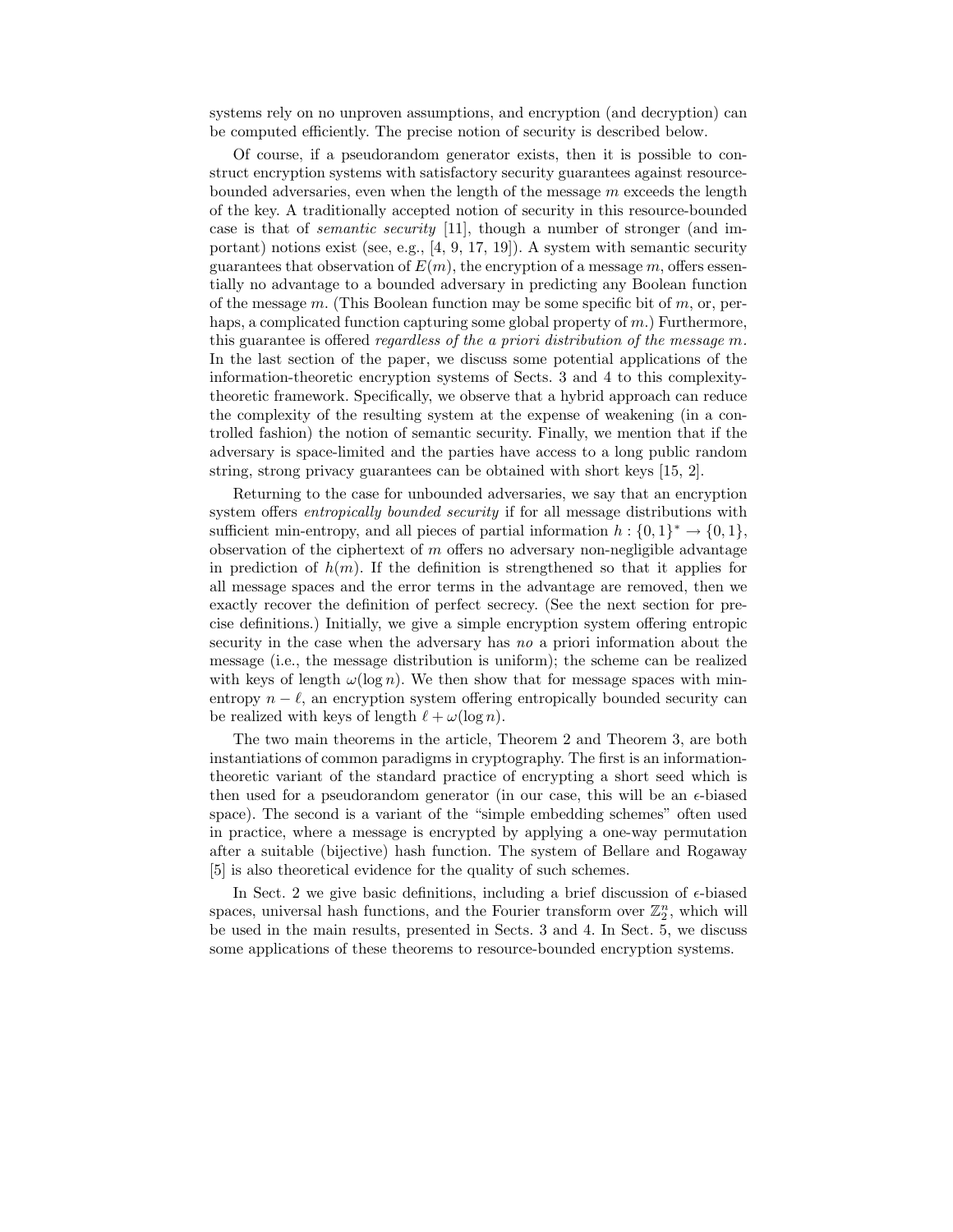systems rely on no unproven assumptions, and encryption (and decryption) can be computed efficiently. The precise notion of security is described below.

Of course, if a pseudorandom generator exists, then it is possible to construct encryption systems with satisfactory security guarantees against resourcebounded adversaries, even when the length of the message  $m$  exceeds the length of the key. A traditionally accepted notion of security in this resource-bounded case is that of semantic security [11], though a number of stronger (and important) notions exist (see, e.g., [4, 9, 17, 19]). A system with semantic security guarantees that observation of  $E(m)$ , the encryption of a message m, offers essentially no advantage to a bounded adversary in predicting any Boolean function of the message m. (This Boolean function may be some specific bit of m, or, perhaps, a complicated function capturing some global property of  $m$ .) Furthermore, this guarantee is offered regardless of the a priori distribution of the message m. In the last section of the paper, we discuss some potential applications of the information-theoretic encryption systems of Sects. 3 and 4 to this complexitytheoretic framework. Specifically, we observe that a hybrid approach can reduce the complexity of the resulting system at the expense of weakening (in a controlled fashion) the notion of semantic security. Finally, we mention that if the adversary is space-limited and the parties have access to a long public random string, strong privacy guarantees can be obtained with short keys [15, 2].

Returning to the case for unbounded adversaries, we say that an encryption system offers entropically bounded security if for all message distributions with sufficient min-entropy, and all pieces of partial information  $h: \{0,1\}^* \to \{0,1\}$ , observation of the ciphertext of  $m$  offers no adversary non-negligible advantage in prediction of  $h(m)$ . If the definition is strengthened so that it applies for all message spaces and the error terms in the advantage are removed, then we exactly recover the definition of perfect secrecy. (See the next section for precise definitions.) Initially, we give a simple encryption system offering entropic security in the case when the adversary has no a priori information about the message (i.e., the message distribution is uniform); the scheme can be realized with keys of length  $\omega(\log n)$ . We then show that for message spaces with minentropy  $n - \ell$ , an encryption system offering entropically bounded security can be realized with keys of length  $\ell + \omega(\log n)$ .

The two main theorems in the article, Theorem 2 and Theorem 3, are both instantiations of common paradigms in cryptography. The first is an informationtheoretic variant of the standard practice of encrypting a short seed which is then used for a pseudorandom generator (in our case, this will be an  $\epsilon$ -biased space). The second is a variant of the "simple embedding schemes" often used in practice, where a message is encrypted by applying a one-way permutation after a suitable (bijective) hash function. The system of Bellare and Rogaway [5] is also theoretical evidence for the quality of such schemes.

In Sect. 2 we give basic definitions, including a brief discussion of  $\epsilon$ -biased spaces, universal hash functions, and the Fourier transform over  $\mathbb{Z}_2^n$ , which will be used in the main results, presented in Sects. 3 and 4. In Sect. 5, we discuss some applications of these theorems to resource-bounded encryption systems.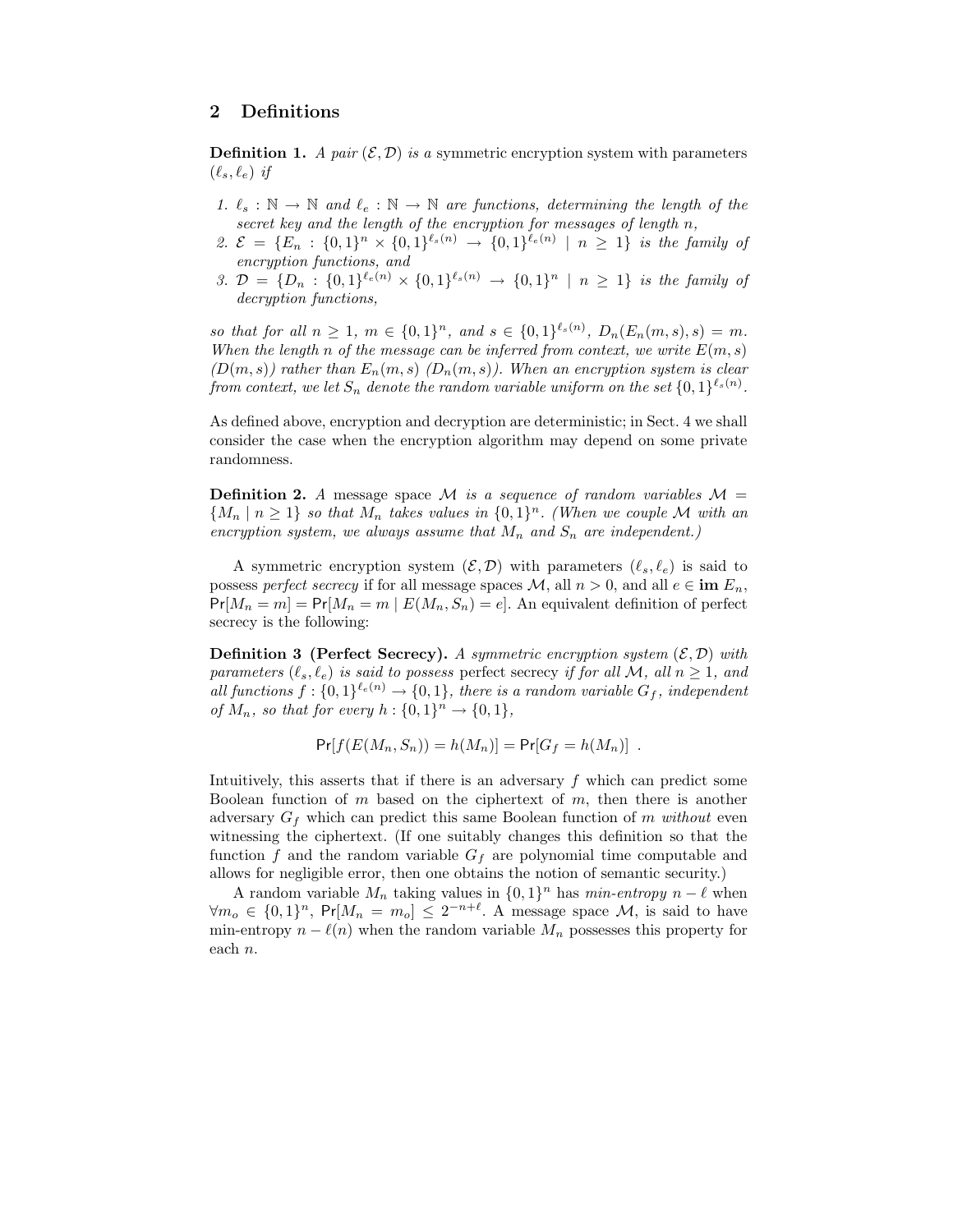# 2 Definitions

**Definition 1.** A pair  $(\mathcal{E}, \mathcal{D})$  is a symmetric encryption system with parameters  $(\ell_s, \ell_e)$  if

- 1.  $\ell_s : \mathbb{N} \to \mathbb{N}$  and  $\ell_e : \mathbb{N} \to \mathbb{N}$  are functions, determining the length of the secret key and the length of the encryption for messages of length n,
- 2.  $\mathcal{E} = \{E_n : \{0,1\}^n \times \{0,1\}^{\ell_s(n)} \to \{0,1\}^{\ell_e(n)} \mid n \geq 1\}$  is the family of encryption functions, and
- 3.  $\mathcal{D} = \{D_n : \{0,1\}^{\ell_e(n)} \times \{0,1\}^{\ell_s(n)} \to \{0,1\}^n \mid n \geq 1\}$  is the family of decryption functions,

so that for all  $n \geq 1$ ,  $m \in \{0,1\}^n$ , and  $s \in \{0,1\}^{\ell_s(n)}$ ,  $D_n(E_n(m,s),s) = m$ . When the length n of the message can be inferred from context, we write  $E(m, s)$  $(D(m, s))$  rather than  $E_n(m, s)$   $(D_n(m, s))$ . When an encryption system is clear from context, we let  $S_n$  denote the random variable uniform on the set  $\{0,1\}^{\ell_s(n)}.$ 

As defined above, encryption and decryption are deterministic; in Sect. 4 we shall consider the case when the encryption algorithm may depend on some private randomness.

**Definition 2.** A message space M is a sequence of random variables  $M =$  ${M_n \mid n \geq 1}$  so that  $M_n$  takes values in  ${0,1}^n$ . (When we couple M with an encryption system, we always assume that  $M_n$  and  $S_n$  are independent.)

A symmetric encryption system  $(\mathcal{E}, \mathcal{D})$  with parameters  $(\ell_s, \ell_e)$  is said to possess perfect secrecy if for all message spaces M, all  $n > 0$ , and all  $e \in \text{im } E_n$ ,  $Pr[M_n = m] = Pr[M_n = m | E(M_n, S_n) = e]$ . An equivalent definition of perfect secrecy is the following:

**Definition 3 (Perfect Secrecy).** A symmetric encryption system  $(\mathcal{E}, \mathcal{D})$  with parameters  $(\ell_s, \ell_e)$  is said to possess perfect secrecy if for all M, all  $n \geq 1$ , and all functions  $f: \{0,1\}^{\ell_e(n)} \to \{0,1\}$ , there is a random variable  $G_f$ , independent of  $M_n$ , so that for every  $h: \{0,1\}^n \to \{0,1\}$ ,

$$
Pr[f(E(M_n, S_n)) = h(M_n)] = Pr[G_f = h(M_n)] .
$$

Intuitively, this asserts that if there is an adversary f which can predict some Boolean function of  $m$  based on the ciphertext of  $m$ , then there is another adversary  $G_f$  which can predict this same Boolean function of m without even witnessing the ciphertext. (If one suitably changes this definition so that the function f and the random variable  $G_f$  are polynomial time computable and allows for negligible error, then one obtains the notion of semantic security.)

A random variable  $M_n$  taking values in  $\{0,1\}^n$  has  $min\text{-}entropy\ n - \ell$  when  $\forall m_o \in \{0,1\}^n$ , Pr $[M_n = m_o] \leq 2^{-n+\ell}$ . A message space  $\mathcal{M}$ , is said to have min-entropy  $n - \ell(n)$  when the random variable  $M_n$  possesses this property for each n.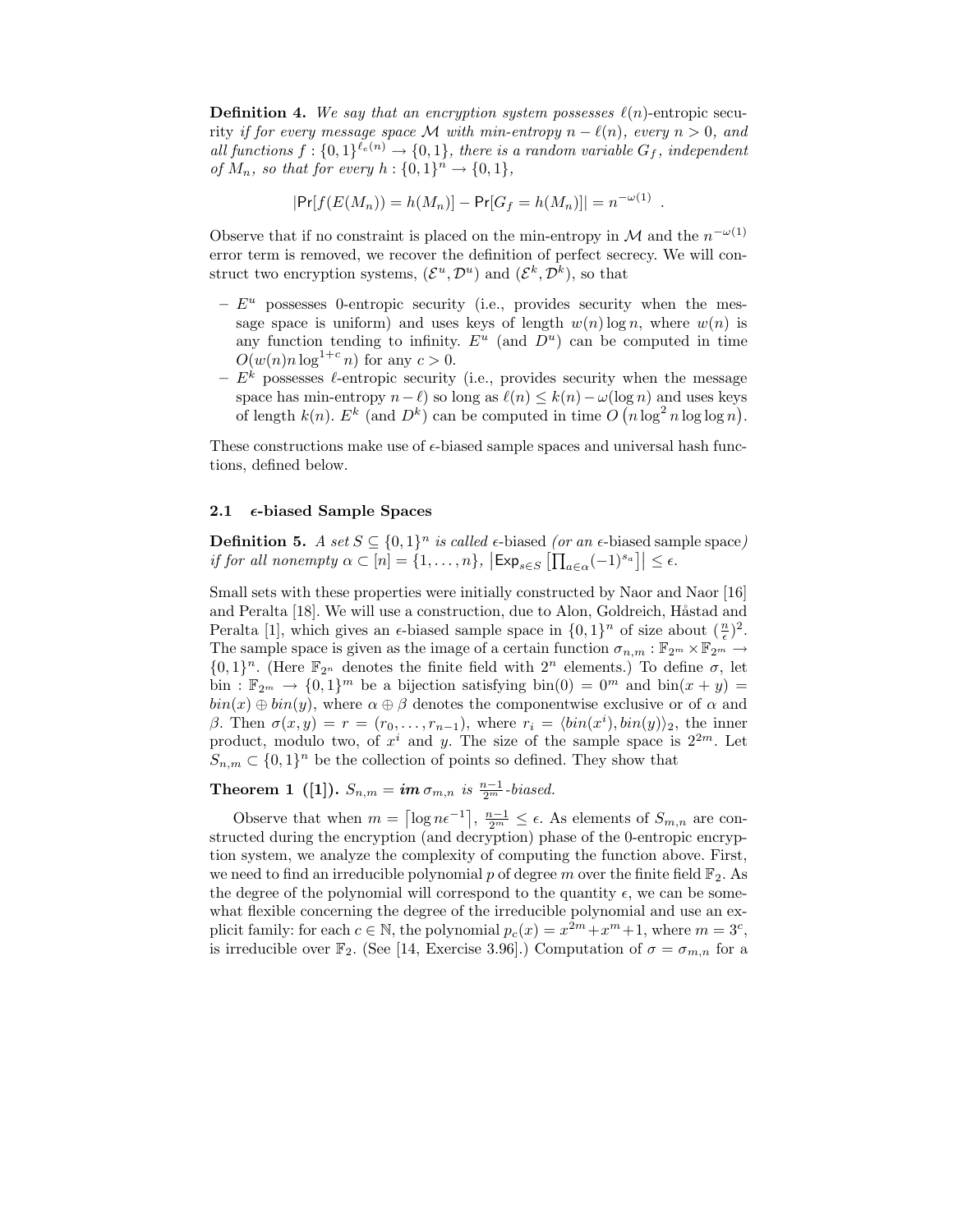**Definition 4.** We say that an encryption system possesses  $\ell(n)$ -entropic security if for every message space M with min-entropy  $n - \ell(n)$ , every  $n > 0$ , and all functions  $f: \{0,1\}^{\ell_e(n)} \to \{0,1\}$ , there is a random variable  $G_f$ , independent of  $M_n$ , so that for every  $h: \{0,1\}^n \to \{0,1\}$ ,

$$
|\Pr[f(E(M_n)) = h(M_n)] - \Pr[G_f = h(M_n)]| = n^{-\omega(1)}
$$

.

Observe that if no constraint is placed on the min-entropy in M and the  $n^{-\omega(1)}$ error term is removed, we recover the definition of perfect secrecy. We will construct two encryption systems,  $(\mathcal{E}^u, \mathcal{D}^u)$  and  $(\mathcal{E}^k, \mathcal{D}^k)$ , so that

- $-E^u$  possesses 0-entropic security (i.e., provides security when the message space is uniform) and uses keys of length  $w(n) \log n$ , where  $w(n)$  is any function tending to infinity.  $E^u$  (and  $D^u$ ) can be computed in time  $O(w(n)n \log^{1+c} n)$  for any  $c > 0$ .
- $E^{\hat{k}}$  possesses  $\ell$ -entropic security (i.e., provides security when the message space has min-entropy  $n-\ell$ ) so long as  $\ell(n) \leq k(n)-\omega(\log n)$  and uses keys of length  $k(n)$ .  $E^k$  (and  $D^k$ ) can be computed in time  $O(n \log^2 n \log \log n)$ .

These constructions make use of  $\epsilon$ -biased sample spaces and universal hash functions, defined below.

## 2.1  $\epsilon$ -biased Sample Spaces

**Definition 5.** A set  $S \subseteq \{0,1\}^n$  is called  $\epsilon$ -biased (or an  $\epsilon$ -biased sample space) if for all nonempty  $\alpha \subset [n] = \{1, \ldots, n\}$ ,  $|\mathsf{Exp}_{s \in S}[\prod_{a \in \alpha} (-1)^{s_a}]| \leq \epsilon$ .

Small sets with these properties were initially constructed by Naor and Naor [16] and Peralta [18]. We will use a construction, due to Alon, Goldreich, Håstad and Peralta [1], which gives an  $\epsilon$ -biased sample space in  $\{0,1\}^n$  of size about  $(\frac{n}{\epsilon})^2$ . The sample space is given as the image of a certain function  $\sigma_{n,m} : \mathbb{F}_{2^m} \times \mathbb{F}_{2^m} \to$  ${0,1}<sup>n</sup>$ . (Here  $\mathbb{F}_{2^n}$  denotes the finite field with  $2^n$  elements.) To define  $\sigma$ , let bin :  $\mathbb{F}_{2^m} \to \{0,1\}^m$  be a bijection satisfying bin $(0) = 0^m$  and bin $(x + y) =$  $\sin(x) \oplus \sin(y)$ , where  $\alpha \oplus \beta$  denotes the componentwise exclusive or of  $\alpha$  and β. Then  $\sigma(x, y) = r = (r_0, \ldots, r_{n-1})$ , where  $r_i = \langle bin(x^i), bin(y) \rangle_2$ , the inner product, modulo two, of  $x^i$  and y. The size of the sample space is  $2^{2m}$ . Let  $S_{n,m} \subset \{0,1\}^n$  be the collection of points so defined. They show that

**Theorem 1** ([1]).  $S_{n,m} = im \sigma_{m,n}$  is  $\frac{n-1}{2^m}$ -biased.

Observe that when  $m = \lceil \log n\epsilon^{-1} \rceil$ ,  $\frac{n-1}{2^m} \leq \epsilon$ . As elements of  $S_{m,n}$  are constructed during the encryption (and decryption) phase of the 0-entropic encryption system, we analyze the complexity of computing the function above. First, we need to find an irreducible polynomial p of degree m over the finite field  $\mathbb{F}_2$ . As the degree of the polynomial will correspond to the quantity  $\epsilon$ , we can be somewhat flexible concerning the degree of the irreducible polynomial and use an explicit family: for each  $c \in \mathbb{N}$ , the polynomial  $p_c(x) = x^{2m} + x^m + 1$ , where  $m = 3^c$ , is irreducible over  $\mathbb{F}_2$ . (See [14, Exercise 3.96].) Computation of  $\sigma = \sigma_{m,n}$  for a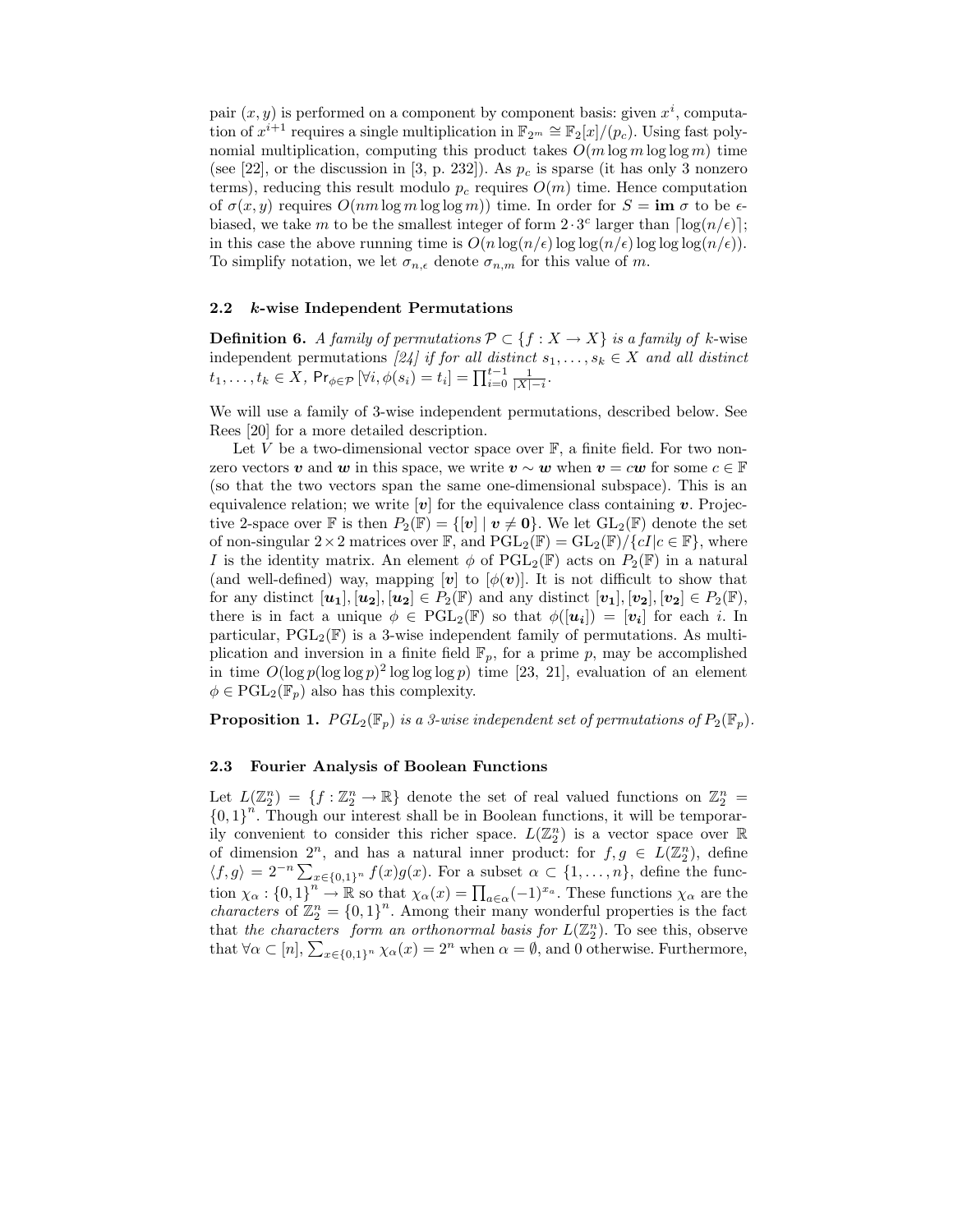pair  $(x, y)$  is performed on a component by component basis: given  $x<sup>i</sup>$ , computation of  $x^{i+1}$  requires a single multiplication in  $\mathbb{F}_{2^m} \cong \mathbb{F}_2[x]/(p_c)$ . Using fast polynomial multiplication, computing this product takes  $O(m \log m \log \log m)$  time (see [22], or the discussion in [3, p. 232]). As  $p_c$  is sparse (it has only 3 nonzero terms), reducing this result modulo  $p_c$  requires  $O(m)$  time. Hence computation of  $\sigma(x, y)$  requires  $O(nm \log m \log \log m)$  time. In order for  $S = \textbf{im } \sigma$  to be  $\epsilon$ biased, we take m to be the smallest integer of form  $2 \cdot 3^c$  larger than  $\lceil \log(n/\epsilon) \rceil$ ; in this case the above running time is  $O(n \log(n/\epsilon) \log \log(n/\epsilon))$  log log( $n/\epsilon$ )). To simplify notation, we let  $\sigma_{n,\epsilon}$  denote  $\sigma_{n,m}$  for this value of m.

#### 2.2 k-wise Independent Permutations

**Definition 6.** A family of permutations  $\mathcal{P} \subset \{f : X \to X\}$  is a family of k-wise independent permutations [24] if for all distinct  $s_1, \ldots, s_k \in X$  and all distinct  $t_1, \ldots, t_k \in X$ ,  $Pr_{\phi \in \mathcal{P}} [\forall i, \phi(s_i) = t_i] = \prod_{i=0}^{t-1} \frac{1}{|X| - i}.$ 

We will use a family of 3-wise independent permutations, described below. See Rees [20] for a more detailed description.

Let V be a two-dimensional vector space over  $\mathbb{F}$ , a finite field. For two nonzero vectors v and w in this space, we write  $v \sim w$  when  $v = cw$  for some  $c \in \mathbb{F}$ (so that the two vectors span the same one-dimensional subspace). This is an equivalence relation; we write  $[v]$  for the equivalence class containing v. Projective 2-space over  $\mathbb F$  is then  $P_2(\mathbb F) = \{ [v] \mid v \neq 0 \}$ . We let  $GL_2(\mathbb F)$  denote the set of non-singular  $2 \times 2$  matrices over F, and  $PGL_2(\mathbb{F}) = GL_2(\mathbb{F}) / \{cI | c \in \mathbb{F}\}\,$ , where I is the identity matrix. An element  $\phi$  of  $PGL_2(\mathbb{F})$  acts on  $P_2(\mathbb{F})$  in a natural (and well-defined) way, mapping [v] to  $[\phi(\mathbf{v})]$ . It is not difficult to show that for any distinct  $[\mathbf{u_1}], [\mathbf{u_2}], [\mathbf{u_2}] \in P_2(\mathbb{F})$  and any distinct  $[\mathbf{v_1}], [\mathbf{v_2}], [\mathbf{v_2}] \in P_2(\mathbb{F})$ , there is in fact a unique  $\phi \in \text{PGL}_2(\mathbb{F})$  so that  $\phi([\boldsymbol{u_i}]) = [\boldsymbol{v_i}]$  for each i. In particular,  $PGL_2(\mathbb{F})$  is a 3-wise independent family of permutations. As multiplication and inversion in a finite field  $\mathbb{F}_p$ , for a prime p, may be accomplished in time  $O(\log p(\log \log p)^2 \log \log \log p)$  time [23, 21], evaluation of an element  $\phi \in \mathrm{PGL}_2(\mathbb{F}_p)$  also has this complexity.

**Proposition 1.**  $PGL_2(\mathbb{F}_p)$  is a 3-wise independent set of permutations of  $P_2(\mathbb{F}_p)$ .

#### 2.3 Fourier Analysis of Boolean Functions

Let  $L(\mathbb{Z}_2^n) = \{f : \mathbb{Z}_2^n \to \mathbb{R}\}\$  denote the set of real valued functions on  $\mathbb{Z}_2^n =$  ${0,1}^n$ . Though our interest shall be in Boolean functions, it will be temporarily convenient to consider this richer space.  $L(\mathbb{Z}_2^n)$  is a vector space over  $\mathbb R$ of dimension  $2^n$ , and has a natural inner product: for  $f, g \in L(\mathbb{Z}_2^n)$ , define  $\langle f,g\rangle = 2^{-n} \sum_{x \in \{0,1\}^n} f(x)g(x)$ . For a subset  $\alpha \subset \{1,\ldots,n\}$ , define the function  $\chi_{\alpha} : \{0,1\}^n \to \mathbb{R}$  so that  $\chi_{\alpha}(x) = \prod_{a \in \alpha} (-1)^{x_a}$ . These functions  $\chi_{\alpha}$  are the *characters* of  $\mathbb{Z}_2^n = \{0,1\}^n$ . Among their many wonderful properties is the fact that the characters form an orthonormal basis for  $L(\mathbb{Z}_2^n)$ . To see this, observe that  $\forall \alpha \in [n], \sum_{x \in \{0,1\}^n} \chi_\alpha(x) = 2^n$  when  $\alpha = \emptyset$ , and 0 otherwise. Furthermore,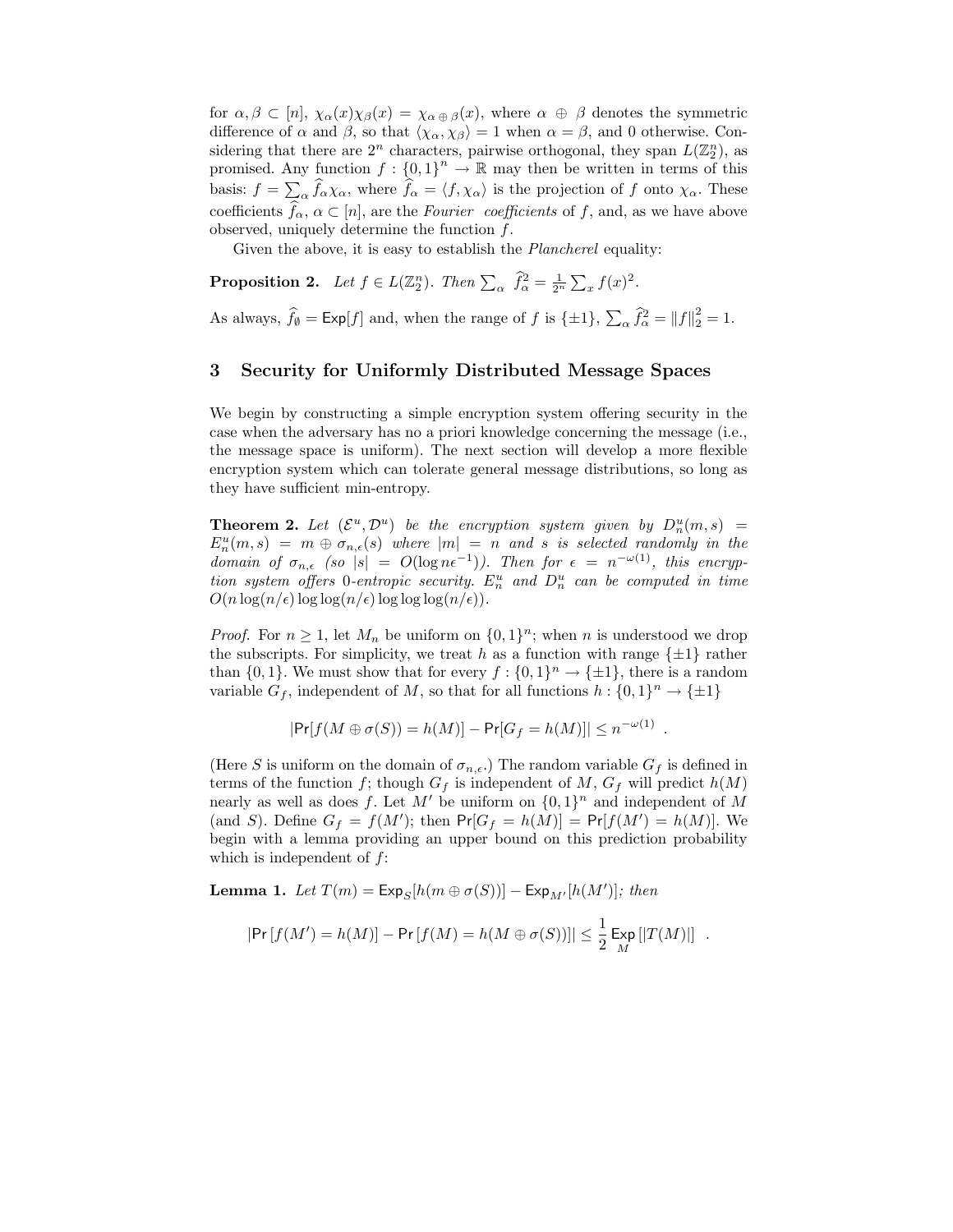for  $\alpha, \beta \subset [n], \chi_{\alpha}(x)\chi_{\beta}(x) = \chi_{\alpha \oplus \beta}(x)$ , where  $\alpha \oplus \beta$  denotes the symmetric difference of  $\alpha$  and  $\beta$ , so that  $\langle \chi_{\alpha}, \chi_{\beta} \rangle = 1$  when  $\alpha = \beta$ , and 0 otherwise. Considering that there are  $2^n$  characters, pairwise orthogonal, they span  $L(\mathbb{Z}_2^n)$ , as promised. Any function  $f: \{0,1\}^n \to \mathbb{R}$  may then be written in terms of this basis:  $f = \sum_{\alpha} \widehat{f}_{\alpha} \chi_{\alpha}$ , where  $\widehat{f}_{\alpha} = \langle f, \chi_{\alpha} \rangle$  is the projection of f onto  $\chi_{\alpha}$ . These coefficients  $f_{\alpha}$ ,  $\alpha \subset [n]$ , are the *Fourier coefficients* of f, and, as we have above observed, uniquely determine the function  $f$ .

Given the above, it is easy to establish the *Plancherel* equality:

**Proposition 2.** Let  $f \in L(\mathbb{Z}_2^n)$ . Then  $\sum_{\alpha} \hat{f}_{\alpha}^2 = \frac{1}{2^n} \sum_x f(x)^2$ .

As always,  $\hat{f}_{\emptyset} = \text{Exp}[f]$  and, when the range of f is  $\{\pm 1\}$ ,  $\sum_{\alpha} \hat{f}_{\alpha}^2 = ||f||_2^2 = 1$ .

# 3 Security for Uniformly Distributed Message Spaces

We begin by constructing a simple encryption system offering security in the case when the adversary has no a priori knowledge concerning the message (i.e., the message space is uniform). The next section will develop a more flexible encryption system which can tolerate general message distributions, so long as they have sufficient min-entropy.

**Theorem 2.** Let  $(\mathcal{E}^u, \mathcal{D}^u)$  be the encryption system given by  $D_n^u(m, s)$  =  $E_n^u(m,s) = m \oplus \sigma_{n,\epsilon}(s)$  where  $|m| = n$  and s is selected randomly in the domain of  $\sigma_{n,\epsilon}$  (so |s| =  $O(\log n\epsilon^{-1})$ ). Then for  $\epsilon = n^{-\omega(1)}$ , this encryption system offers 0-entropic security.  $E_n^u$  and  $D_n^u$  can be computed in time  $O(n \log(n/\epsilon) \log \log(n/\epsilon) \log \log(n/\epsilon)).$ 

*Proof.* For  $n \geq 1$ , let  $M_n$  be uniform on  $\{0,1\}^n$ ; when n is understood we drop the subscripts. For simplicity, we treat h as a function with range  $\{\pm 1\}$  rather than  $\{0,1\}$ . We must show that for every  $f: \{0,1\}^n \to \{\pm 1\}$ , there is a random variable  $G_f$ , independent of M, so that for all functions  $h: \{0,1\}^n \to \{\pm 1\}$ 

$$
|\Pr[f(M \oplus \sigma(S)) = h(M)] - \Pr[G_f = h(M)]| \le n^{-\omega(1)}.
$$

(Here S is uniform on the domain of  $\sigma_{n,\epsilon}$ .) The random variable  $G_f$  is defined in terms of the function f; though  $G_f$  is independent of M,  $G_f$  will predict  $h(M)$ nearly as well as does f. Let  $M'$  be uniform on  $\{0, 1\}^n$  and independent of M (and S). Define  $G_f = f(M')$ ; then  $Pr[G_f = h(M)] = Pr[f(M') = h(M)]$ . We begin with a lemma providing an upper bound on this prediction probability which is independent of  $f$ :

**Lemma 1.** Let  $T(m) = \text{Exp}_S[h(m \oplus \sigma(S))] - \text{Exp}_{M'}[h(M')];$  then  $|\Pr[f(M') = h(M)] - \Pr[f(M) = h(M \oplus \sigma(S))]|\leq \frac{1}{2}$  $\frac{1}{2}$  Exp  $[|T(M)|]$ .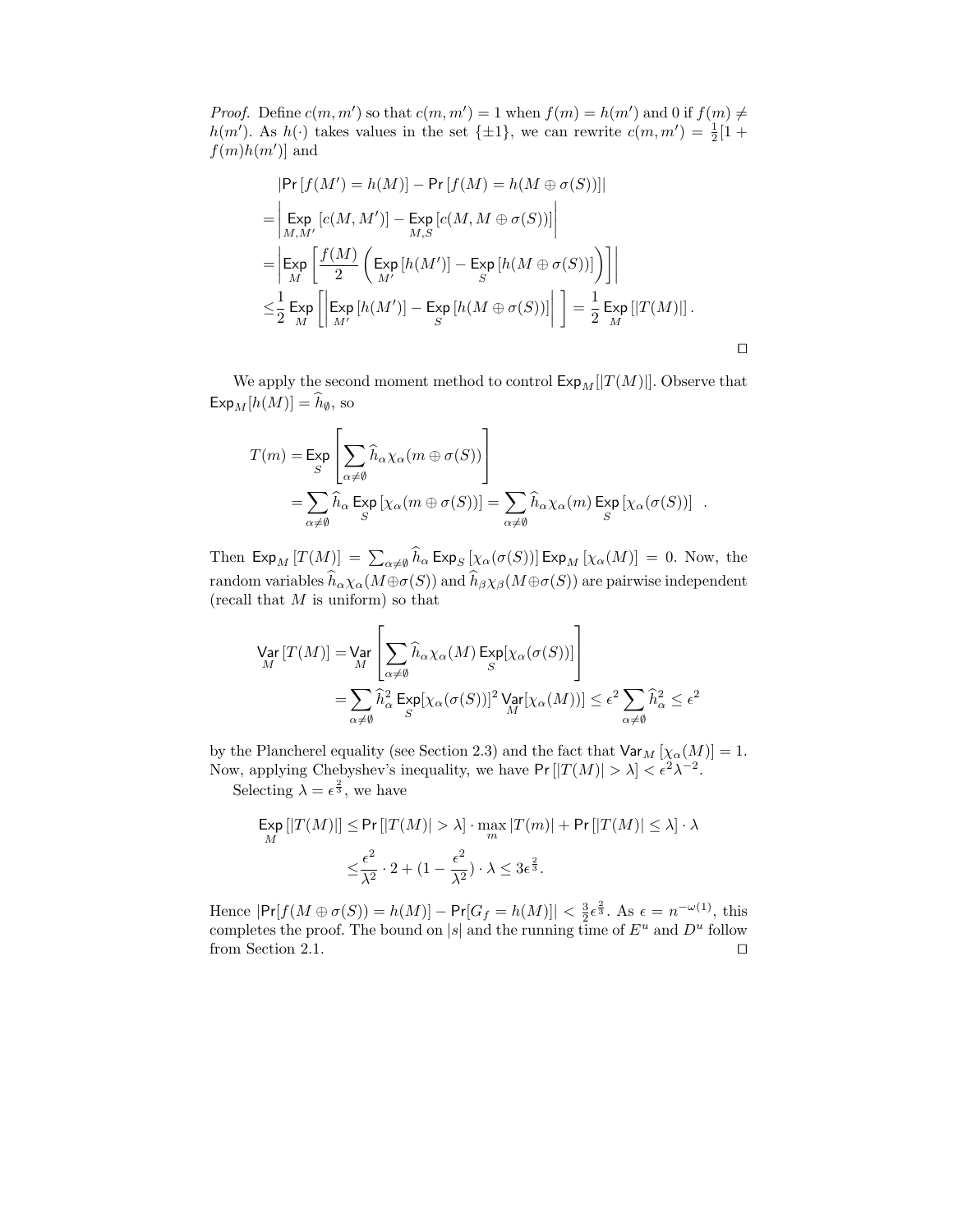*Proof.* Define  $c(m, m')$  so that  $c(m, m') = 1$  when  $f(m) = h(m')$  and 0 if  $f(m) \neq$  $h(m')$ . As  $h(\cdot)$  takes values in the set  $\{\pm 1\}$ , we can rewrite  $c(m, m') = \frac{1}{2}[1 +$  $f(m)h(m')$ ] and

$$
|\Pr[f(M') = h(M)] - \Pr[f(M) = h(M \oplus \sigma(S))]|
$$
  
\n
$$
= \left| \operatorname{Exp}_{M,M'}[c(M, M')] - \operatorname{Exp}_{M,S}[c(M, M \oplus \sigma(S))]\right|
$$
  
\n
$$
= \left| \operatorname{Exp}_{M} \left[ \frac{f(M)}{2} \left( \operatorname{Exp}_{M'}[h(M')] - \operatorname{Exp}_{S}[h(M \oplus \sigma(S))]\right) \right] \right|
$$
  
\n
$$
\leq \frac{1}{2} \operatorname{Exp}_{M} \left[ \left| \operatorname{Exp}_{M'}[h(M')] - \operatorname{Exp}_{S}[h(M \oplus \sigma(S))]\right| \right] = \frac{1}{2} \operatorname{Exp}_{M}[|T(M)|].
$$

We apply the second moment method to control  $\mathsf{Exp}_M[|T(M)|]$ . Observe that  $\operatorname{\mathsf{Exp}}_M[h(M)] = \widehat{h}_\emptyset$ , so

$$
T(m) = \operatorname{Exp}\left[\sum_{\alpha \neq \emptyset} \widehat{h}_{\alpha} \chi_{\alpha}(m \oplus \sigma(S))\right]
$$
  
= 
$$
\sum_{\alpha \neq \emptyset} \widehat{h}_{\alpha} \operatorname{Exp}\left[\chi_{\alpha}(m \oplus \sigma(S))\right] = \sum_{\alpha \neq \emptyset} \widehat{h}_{\alpha} \chi_{\alpha}(m) \operatorname{Exp}\left[\chi_{\alpha}(\sigma(S))\right] .
$$

Then  $\mathsf{Exp}_M[T(M)] = \sum_{\alpha \neq \emptyset} \widehat{h}_{\alpha} \mathsf{Exp}_S[\chi_{\alpha}(\sigma(S))] \mathsf{Exp}_M[\chi_{\alpha}(M)] = 0$ . Now, the random variables  $\widehat{h}_{\alpha}\chi_{\alpha}(M\oplus \sigma(S))$  and  $\widehat{h}_{\beta}\chi_{\beta}(M\oplus \sigma(S))$  are pairwise independent (recall that  $M$  is uniform) so that

$$
\operatorname*{Var}_{M}\left[T(M)\right] = \operatorname*{Var}_{M}\left[\sum_{\alpha \neq \emptyset} \widehat{h}_{\alpha} \chi_{\alpha}(M) \operatorname*{Exp}_{S}[\chi_{\alpha}(\sigma(S))] \right]
$$
\n
$$
= \sum_{\alpha \neq \emptyset} \widehat{h}_{\alpha}^{2} \operatorname*{Exp}_{S}[\chi_{\alpha}(\sigma(S))]^{2} \operatorname*{Var}_{M}[\chi_{\alpha}(M))] \leq \epsilon^{2} \sum_{\alpha \neq \emptyset} \widehat{h}_{\alpha}^{2} \leq \epsilon^{2}
$$

by the Plancherel equality (see Section 2.3) and the fact that  $\text{Var}_M[\chi_\alpha(M)] = 1$ . Now, applying Chebyshev's inequality, we have  $Pr[|T(M)| > \lambda] < \epsilon^2 \lambda^{-2}$ .

Selecting  $\lambda = \epsilon^{\frac{2}{3}}$ , we have

$$
\mathop{\rm Exp}_{M} \left[|T(M)|\right] \leq \Pr\left[|T(M)| > \lambda\right] \cdot \max_{m} |T(m)| + \Pr\left[|T(M)| \leq \lambda\right] \cdot \lambda
$$
  

$$
\leq \frac{\epsilon^{2}}{\lambda^{2}} \cdot 2 + (1 - \frac{\epsilon^{2}}{\lambda^{2}}) \cdot \lambda \leq 3\epsilon^{\frac{2}{3}}.
$$

Hence  $|\Pr[f(M \oplus \sigma(S)) = h(M)] - \Pr[G_f = h(M)]| < \frac{3}{2} \epsilon^{\frac{2}{3}}$ . As  $\epsilon = n^{-\omega(1)}$ , this completes the proof. The bound on |s| and the running time of  $E^u$  and  $D^u$  follow from Section 2.1.  $\Box$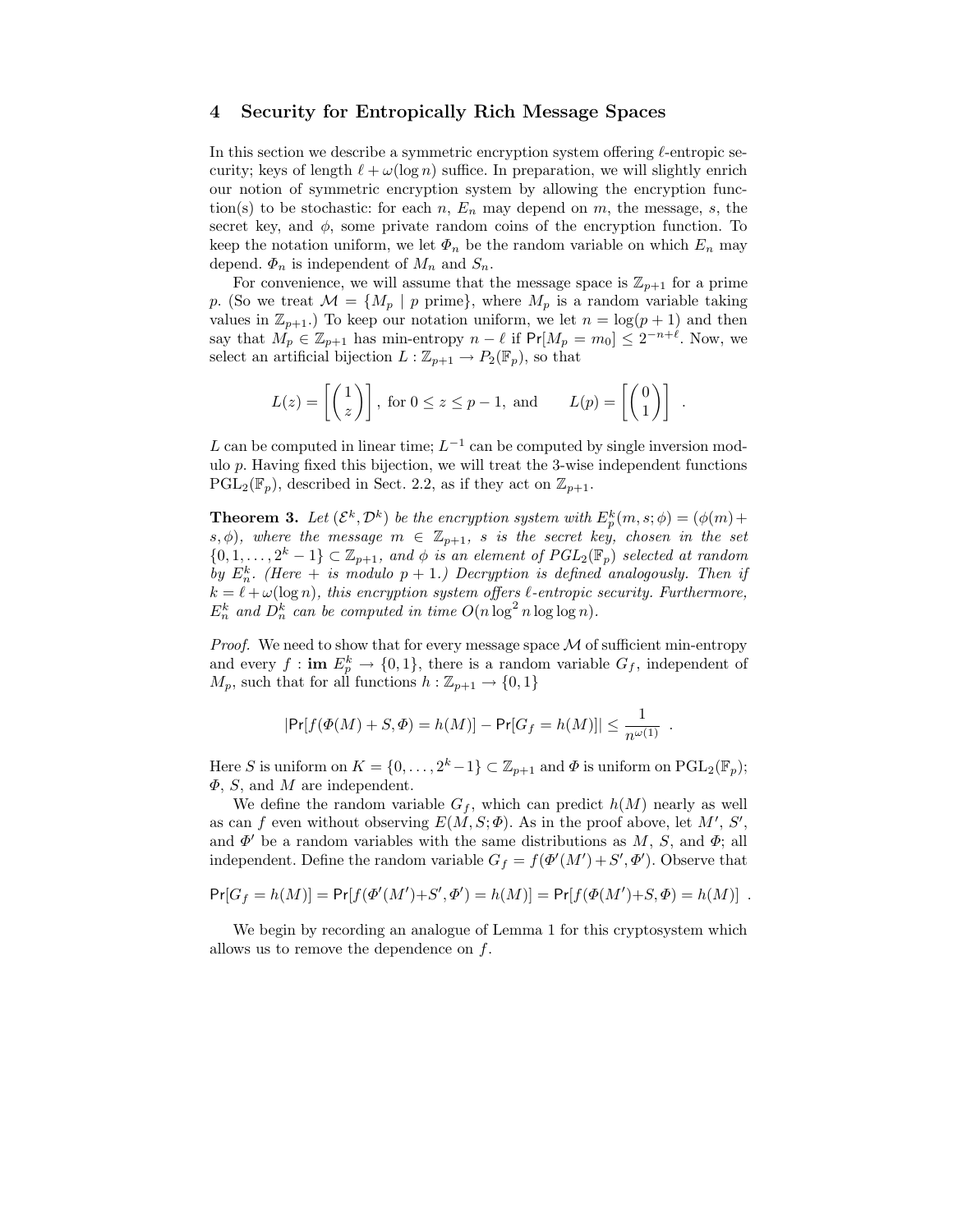## 4 Security for Entropically Rich Message Spaces

In this section we describe a symmetric encryption system offering  $\ell$ -entropic security; keys of length  $\ell + \omega(\log n)$  suffice. In preparation, we will slightly enrich our notion of symmetric encryption system by allowing the encryption function(s) to be stochastic: for each n,  $E_n$  may depend on m, the message, s, the secret key, and  $\phi$ , some private random coins of the encryption function. To keep the notation uniform, we let  $\Phi_n$  be the random variable on which  $E_n$  may depend.  $\Phi_n$  is independent of  $M_n$  and  $S_n$ .

For convenience, we will assume that the message space is  $\mathbb{Z}_{p+1}$  for a prime p. (So we treat  $\mathcal{M} = \{M_p \mid p \text{ prime}\}\$ , where  $M_p$  is a random variable taking values in  $\mathbb{Z}_{p+1}$ .) To keep our notation uniform, we let  $n = \log(p+1)$  and then say that  $M_p \in \mathbb{Z}_{p+1}$  has min-entropy  $n-\ell$  if  $Pr[M_p = m_0] \leq 2^{-n+\ell}$ . Now, we select an artificial bijection  $L : \mathbb{Z}_{p+1} \to P_2(\mathbb{F}_p)$ , so that

$$
L(z) = \left[ \begin{pmatrix} 1 \\ z \end{pmatrix} \right], \text{ for } 0 \le z \le p - 1, \text{ and } L(p) = \left[ \begin{pmatrix} 0 \\ 1 \end{pmatrix} \right].
$$

L can be computed in linear time;  $L^{-1}$  can be computed by single inversion modulo p. Having fixed this bijection, we will treat the 3-wise independent functions  $PGL_2(\mathbb{F}_p)$ , described in Sect. 2.2, as if they act on  $\mathbb{Z}_{p+1}$ .

**Theorem 3.** Let  $(\mathcal{E}^k, \mathcal{D}^k)$  be the encryption system with  $E_p^k(m, s; \phi) = (\phi(m) +$ s,  $\phi$ ), where the message  $m \in \mathbb{Z}_{p+1}$ , s is the secret key, chosen in the set  $\{0, 1, \ldots, 2^k - 1\} \subset \mathbb{Z}_{p+1}$ , and  $\phi$  is an element of  $PGL_2(\mathbb{F}_p)$  selected at random by  $E_n^k$ . (Here  $+$  is modulo  $p + 1$ .) Decryption is defined analogously. Then if  $k = \ell + \omega(\log n)$ , this encryption system offers  $\ell$ -entropic security. Furthermore,  $E_n^k$  and  $D_n^k$  can be computed in time  $O(n \log^2 n \log \log n)$ .

*Proof.* We need to show that for every message space  $M$  of sufficient min-entropy and every  $f: \text{im } E_p^k \to \{0,1\}$ , there is a random variable  $G_f$ , independent of  $M_p$ , such that for all functions  $h : \mathbb{Z}_{p+1} \to \{0,1\}$ 

$$
|\Pr[f(\Phi(M) + S, \Phi)] = h(M)] - \Pr[G_f = h(M)]| \le \frac{1}{n^{\omega(1)}}.
$$

Here S is uniform on  $K = \{0, \ldots, 2^k-1\} \subset \mathbb{Z}_{p+1}$  and  $\Phi$  is uniform on  $\mathrm{PGL}_2(\mathbb{F}_p)$ ;  $\Phi$ , S, and M are independent.

We define the random variable  $G_f$ , which can predict  $h(M)$  nearly as well as can f even without observing  $E(M, S; \Phi)$ . As in the proof above, let  $M', S',$ and  $\Phi'$  be a random variables with the same distributions as  $M, S$ , and  $\Phi$ ; all independent. Define the random variable  $G_f = f(\Phi'(M') + S', \Phi')$ . Observe that

$$
\Pr[G_f = h(M)] = \Pr[f(\Phi'(M') + S', \Phi') = h(M)] = \Pr[f(\Phi(M') + S, \Phi) = h(M)] .
$$

We begin by recording an analogue of Lemma 1 for this cryptosystem which allows us to remove the dependence on f.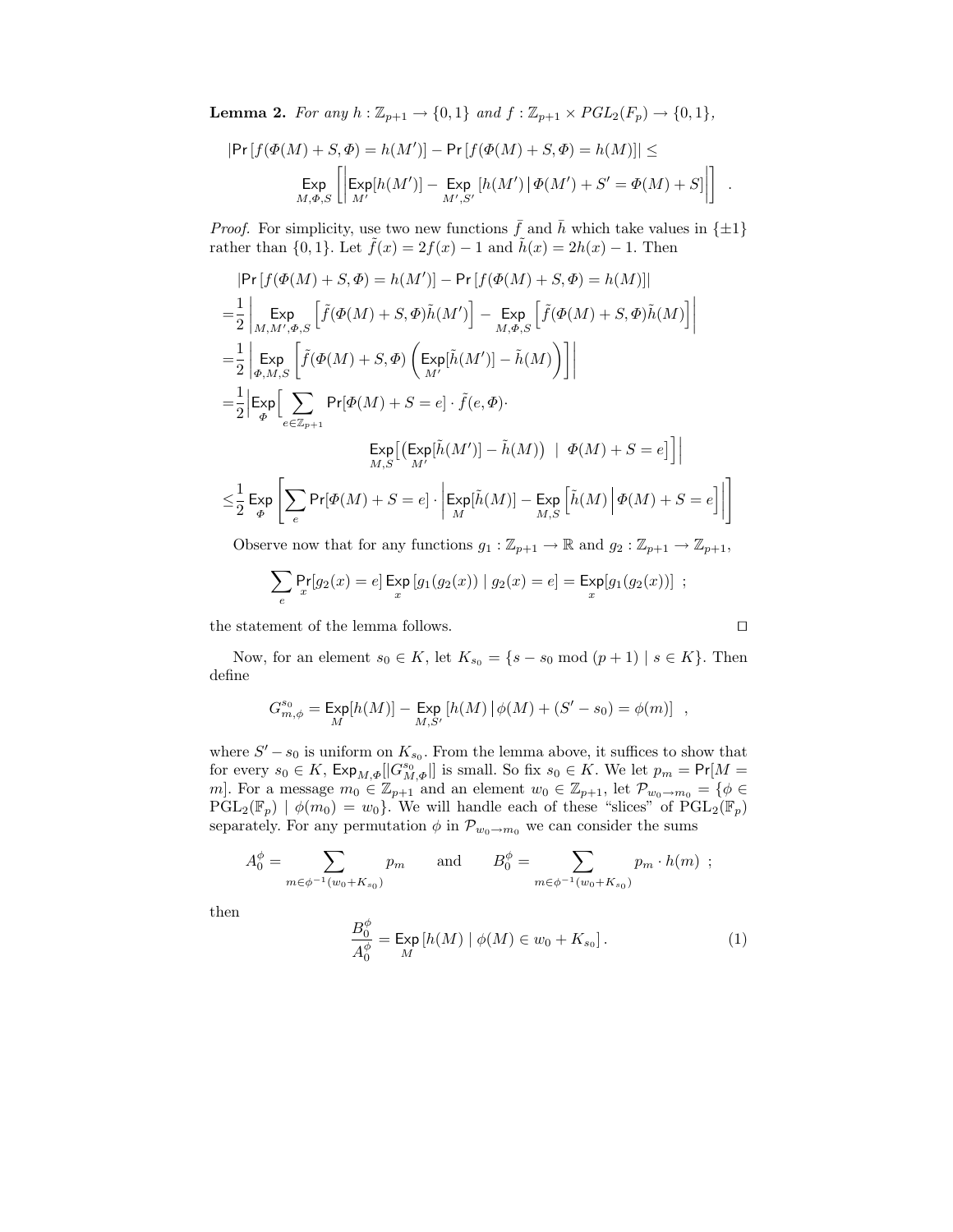**Lemma 2.** For any  $h : \mathbb{Z}_{p+1} \to \{0,1\}$  and  $f : \mathbb{Z}_{p+1} \times PGL_2(F_p) \to \{0,1\},$ 

$$
|\Pr\left[f(\Phi(M) + S, \Phi) = h(M')\right] - \Pr\left[f(\Phi(M) + S, \Phi) = h(M)\right]| \le
$$
  
\n
$$
\mathop{\rm Exp}_{M, \Phi, S} \left[ \left| \mathop{\rm Exp}_{M'} [h(M')] - \mathop{\rm Exp}_{M', S'} [h(M') \, | \, \Phi(M') + S' = \Phi(M) + S] \right| \right] .
$$

*Proof.* For simplicity, use two new functions  $\bar{f}$  and  $\bar{h}$  which take values in  $\{\pm 1\}$ rather than  $\{0, 1\}$ . Let  $\tilde{f}(x) = 2f(x) - 1$  and  $\tilde{h}(x) = 2h(x) - 1$ . Then

$$
|\Pr\left[f(\Phi(M) + S, \Phi) = h(M')\right] - \Pr\left[f(\Phi(M) + S, \Phi) = h(M)\right]|
$$
\n
$$
= \frac{1}{2} \left| \underset{M,M',\Phi,S}{\text{Exp}} \left[\tilde{f}(\Phi(M) + S, \Phi)\tilde{h}(M')\right] - \underset{M,\Phi,S}{\text{Exp}} \left[\tilde{f}(\Phi(M) + S, \Phi)\tilde{h}(M)\right] \right|
$$
\n
$$
= \frac{1}{2} \left| \underset{\Phi,M,S}{\text{Exp}} \left[\tilde{f}(\Phi(M) + S, \Phi) \left(\underset{M'}{\text{Exp}}[\tilde{h}(M')] - \tilde{h}(M)\right) \right] \right|
$$
\n
$$
= \frac{1}{2} \left| \underset{\Phi}{\text{Exp}} \left[ \underset{e \in \mathbb{Z}_{p+1}}{\text{Pr}} \left[\Phi(M) + S = e\right] \cdot \tilde{f}(e, \Phi) \cdot \right. \right|
$$
\n
$$
\frac{\text{Exp}\left[\left(\underset{M}{\text{Exp}}[\tilde{h}(M')] - \tilde{h}(M)\right) \mid \Phi(M) + S = e\right] \right] \right|
$$
\n
$$
\leq \frac{1}{2} \underset{\Phi}{\text{Exp}} \left[ \underset{e}{\text{Exp}} \left[ \underset{P}{\text{Pr}}[\Phi(M) + S = e] \cdot \left| \underset{M}{\text{Exp}}[\tilde{h}(M)] - \underset{M,S}{\text{Exp}} \left[\tilde{h}(M) \left| \Phi(M) + S = e\right] \right] \right|
$$

Observe now that for any functions  $g_1 : \mathbb{Z}_{p+1} \to \mathbb{R}$  and  $g_2 : \mathbb{Z}_{p+1} \to \mathbb{Z}_{p+1}$ ,

$$
\sum_{e} \Pr_{x}[g_2(x) = e] \exp_{x}[g_1(g_2(x)) | g_2(x) = e] = \exp_{x}[g_1(g_2(x))];
$$

the statement of the lemma follows.  $\hfill \square$ 

Now, for an element 
$$
s_0 \in K
$$
, let  $K_{s_0} = \{s - s_0 \mod (p+1) \mid s \in K\}$ . Then define

$$
G_{m,\phi}^{s_0} = \mathop{\rm Exp}_M[h(M)] - \mathop{\rm Exp}_{{\cal M},S'}\left[h(M)\,|\,\phi(M) + (S'-s_0) = \phi(m)\right] \ ,
$$

where  $S'-s_0$  is uniform on  $K_{s_0}$ . From the lemma above, it suffices to show that for every  $s_0 \in K$ ,  $Exp_{M,\Phi}[|G_{M,\Phi}^{s_0}|]$  is small. So fix  $s_0 \in K$ . We let  $p_m = Pr[M =$ m]. For a message  $m_0 \in \mathbb{Z}_{p+1}$  and an element  $w_0 \in \mathbb{Z}_{p+1}$ , let  $\mathcal{P}_{w_0 \to m_0} = \{ \phi \in$  $PGL_2(\mathbb{F}_p) \mid \phi(m_0) = w_0$ . We will handle each of these "slices" of  $PGL_2(\mathbb{F}_p)$ separately. For any permutation  $\phi$  in  $\mathcal{P}_{w_0 \to m_0}$  we can consider the sums

$$
A_0^{\phi} = \sum_{m \in \phi^{-1}(w_0 + K_{s_0})} p_m \quad \text{and} \quad B_0^{\phi} = \sum_{m \in \phi^{-1}(w_0 + K_{s_0})} p_m \cdot h(m) ;
$$

then

$$
\frac{B_0^{\phi}}{A_0^{\phi}} = \text{Exp}\left[h(M) \mid \phi(M) \in w_0 + K_{s_0}\right].
$$
\n(1)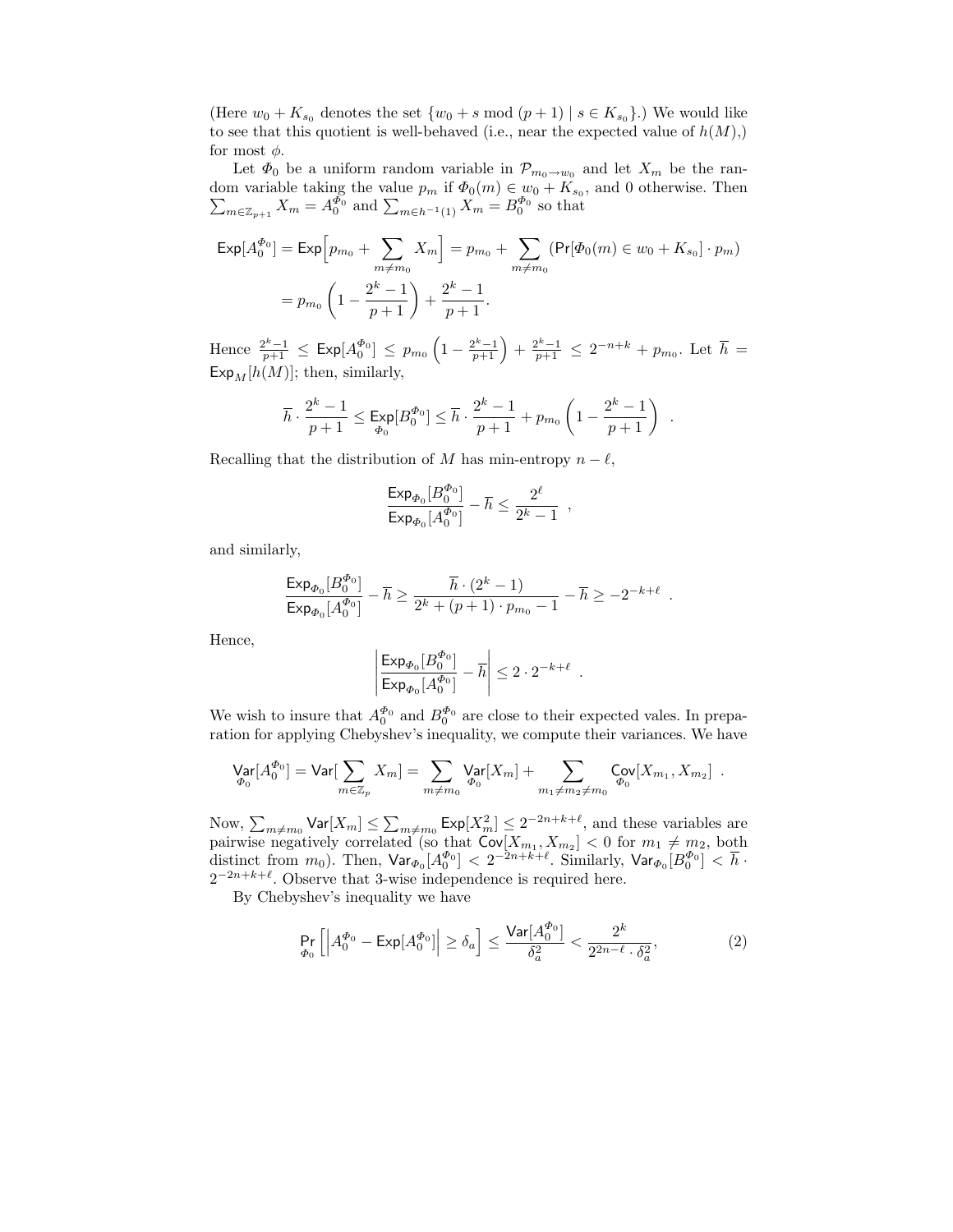(Here  $w_0 + K_{s_0}$  denotes the set  $\{w_0 + s \mod (p+1) \mid s \in K_{s_0}\}\)$ .) We would like to see that this quotient is well-behaved (i.e., near the expected value of  $h(M)$ ), for most  $\phi$ .

Let  $\Phi_0$  be a uniform random variable in  $\mathcal{P}_{m_0 \to w_0}$  and let  $X_m$  be the random variable taking the value  $p_m$  if  $\Phi_0(m) \in w_0 + K_{s_0}$ , and 0 otherwise. Then  $\sum_{m \in \mathbb{Z}_{p+1}} X_m = A_0^{\Phi_0}$  and  $\sum_{m \in h^{-1}(1)} X_m = B_0^{\Phi_0}$  so that

$$
\text{Exp}[A_0^{\Phi_0}] = \text{Exp}\Big[p_{m_0} + \sum_{m \neq m_0} X_m\Big] = p_{m_0} + \sum_{m \neq m_0} (\text{Pr}[\Phi_0(m) \in w_0 + K_{s_0}] \cdot p_m)
$$
  
=  $p_{m_0} \left(1 - \frac{2^k - 1}{p + 1}\right) + \frac{2^k - 1}{p + 1}.$ 

Hence  $\frac{2^k-1}{p+1} \le \text{Exp}[A_0^{\Phi_0}] \le p_{m_0}\left(1-\frac{2^k-1}{p+1}\right)+\frac{2^k-1}{p+1} \le 2^{-n+k}+p_{m_0}$ . Let  $\overline{h}$  $\mathsf{Exp}_M[h(M)];$  then, similarly,

$$
\overline{h}\cdot \frac{2^k-1}{p+1}\leq \mathop{\mathrm{Exp}}_{\varPhi_0}[B_0^{\varPhi_0}]\leq \overline{h}\cdot \frac{2^k-1}{p+1}+p_{m_0}\left(1-\frac{2^k-1}{p+1}\right)\enspace.
$$

Recalling that the distribution of M has min-entropy  $n - \ell$ ,

$$
\frac{\mathrm{Exp}_{\varPhi_0}[B_0^{\varPhi_0}]}{\mathrm{Exp}_{\varPhi_0}[A_0^{\varPhi_0}]} - \overline{h} \leq \frac{2^\ell}{2^k-1} \enspace,
$$

and similarly,

$$
\frac{\mathrm{Exp}_{\varPhi_0}[B_0^{\varPhi_0}]}{\mathrm{Exp}_{\varPhi_0}[A_0^{\varPhi_0}]} - \overline{h} \geq \frac{\overline{h}\cdot (2^k-1)}{2^k + (p+1)\cdot p_{m_0}-1} - \overline{h} \geq -2^{-k+\ell}
$$

.

Hence,

$$
\left| \frac{\mathrm{Exp}_{\varPhi_0}[B_0^{\varPhi_0}]}{\mathrm{Exp}_{\varPhi_0}[A_0^{\varPhi_0}]} - \overline{h} \right| \leq 2 \cdot 2^{-k + \ell} \enspace.
$$

We wish to insure that  $A_0^{\Phi_0}$  and  $B_0^{\Phi_0}$  are close to their expected vales. In preparation for applying Chebyshev's inequality, we compute their variances. We have

$$
\mathsf{Var}[A_0^{\Phi_0}] = \mathsf{Var}[\sum_{m \in \mathbb{Z}_p} X_m] = \sum_{m \neq m_0} \mathsf{Var}[X_m] + \sum_{m_1 \neq m_2 \neq m_0} \mathsf{Cov}[X_{m_1}, X_{m_2}] .
$$

Now,  $\sum_{m \neq m_0}$   $\text{Var}[X_m] \leq \sum_{m \neq m_0} \text{Exp}[X_m^2] \leq 2^{-2n+k+\ell}$ , and these variables are pairwise negatively correlated (so that  $\text{Cov}[X_{m_1}, X_{m_2}] < 0$  for  $m_1 \neq m_2$ , both distinct from  $m_0$ ). Then,  $\mathsf{Var}_{\Phi_0}[A_0^{\Phi_0}] < 2^{-2n+k+\ell}.$  Similarly,  $\mathsf{Var}_{\Phi_0}[B_0^{\Phi_0}] < \overline{h}$  .  $2^{-2n+k+\ell}$ . Observe that 3-wise independence is required here.

By Chebyshev's inequality we have

$$
\Pr_{\Phi_0} \left[ \left| A_0^{\Phi_0} - \text{Exp}[A_0^{\Phi_0}] \right| \ge \delta_a \right] \le \frac{\text{Var}[A_0^{\Phi_0}]}{\delta_a^2} < \frac{2^k}{2^{2n-\ell} \cdot \delta_a^2},\tag{2}
$$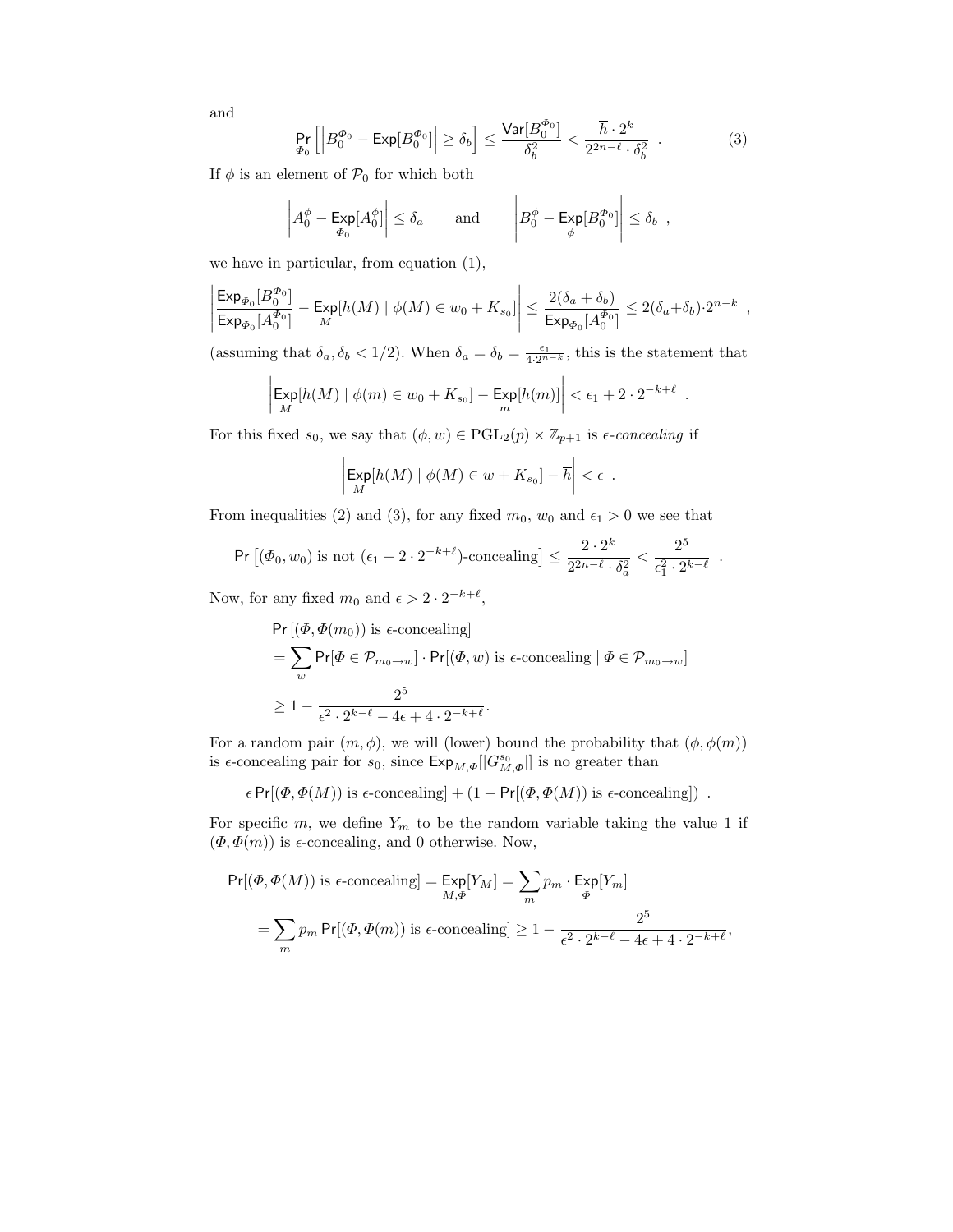and

$$
\Pr_{\Phi_0} \left[ \left| B_0^{\Phi_0} - \text{Exp}[B_0^{\Phi_0}] \right| \ge \delta_b \right] \le \frac{\text{Var}[B_0^{\Phi_0}]}{\delta_b^2} < \frac{\overline{h} \cdot 2^k}{2^{2n-\ell} \cdot \delta_b^2} \quad . \tag{3}
$$

If  $\phi$  is an element of  $\mathcal{P}_0$  for which both

$$
\left| A_0^{\phi} - \mathsf{Exp}[A_0^{\phi}] \right| \le \delta_a \quad \text{and} \quad \left| B_0^{\phi} - \mathsf{Exp}[B_0^{\phi_0}] \right| \le \delta_b ,
$$

we have in particular, from equation (1),

$$
\left| \frac{\text{Exp}_{\Phi_0}[B_0^{\Phi_0}]}{\text{Exp}_{\Phi_0}[A_0^{\Phi_0}]} - \text{Exp}[h(M) \mid \phi(M) \in w_0 + K_{s_0}] \right| \leq \frac{2(\delta_a + \delta_b)}{\text{Exp}_{\Phi_0}[A_0^{\Phi_0}]} \leq 2(\delta_a + \delta_b) \cdot 2^{n-k} ,
$$

(assuming that  $\delta_a, \delta_b < 1/2$ ). When  $\delta_a = \delta_b = \frac{\epsilon_1}{4 \cdot 2^{n-k}}$ , this is the statement that

$$
\left|\operatorname{Exp}[h(M) \mid \phi(m) \in w_0 + K_{s_0}] - \operatorname{Exp}[h(m)]\right| < \epsilon_1 + 2 \cdot 2^{-k+\ell}.
$$

For this fixed  $s_0$ , we say that  $(\phi, w) \in \text{PGL}_2(p) \times \mathbb{Z}_{p+1}$  is  $\epsilon$ -concealing if

$$
\left|\mathsf{Exp}[h(M) \mid \phi(M) \in w + K_{s_0}] - \overline{h}\right| < \epsilon.
$$

From inequalities (2) and (3), for any fixed  $m_0$ ,  $w_0$  and  $\epsilon_1 > 0$  we see that

$$
\Pr\left[ (\varPhi_0, w_0) \text{ is not } (\epsilon_1 + 2 \cdot 2^{-k+\ell})\text{-concealing} \right] \le \frac{2 \cdot 2^k}{2^{2n-\ell} \cdot \delta_a^2} < \frac{2^5}{\epsilon_1^2 \cdot 2^{k-\ell}}.
$$

Now, for any fixed  $m_0$  and  $\epsilon > 2 \cdot 2^{-k+\ell}$ ,

$$
\Pr\left[\left(\Phi, \Phi(m_0)\right) \text{ is } \epsilon\text{-concealing}\right]
$$
\n
$$
= \sum_{w} \Pr[\Phi \in \mathcal{P}_{m_0 \to w}] \cdot \Pr[(\Phi, w) \text{ is } \epsilon\text{-concealing } | \Phi \in \mathcal{P}_{m_0 \to w}]
$$
\n
$$
\geq 1 - \frac{2^5}{\epsilon^2 \cdot 2^{k-\ell} - 4\epsilon + 4 \cdot 2^{-k+\ell}}.
$$

For a random pair  $(m, \phi)$ , we will (lower) bound the probability that  $(\phi, \phi(m))$ is  $\epsilon$ -concealing pair for  $s_0$ , since  $\mathsf{Exp}_{M,\Phi}[[G_{M,\Phi}^{s_0}]]$  is no greater than

$$
\epsilon \Pr[(\Phi, \Phi(M)) \text{ is } \epsilon\text{-concealing}] + (1 - \Pr[(\Phi, \Phi(M)) \text{ is } \epsilon\text{-concealing}]).
$$

For specific  $m$ , we define  $Y_m$  to be the random variable taking the value 1 if  $(\Phi, \Phi(m))$  is  $\epsilon$ -concealing, and 0 otherwise. Now,

$$
Pr[(\Phi, \Phi(M)) \text{ is } \epsilon\text{-concealing}] = \mathop{\mathsf{Exp}}_{M, \Phi}[Y_M] = \sum_m p_m \cdot \mathop{\mathsf{Exp}}_{\Phi}[Y_m]
$$

$$
= \sum_m p_m \Pr[(\Phi, \Phi(m)) \text{ is } \epsilon\text{-concealing}] \ge 1 - \frac{2^5}{\epsilon^2 \cdot 2^{k-\ell} - 4\epsilon + 4 \cdot 2^{-k+\ell}},
$$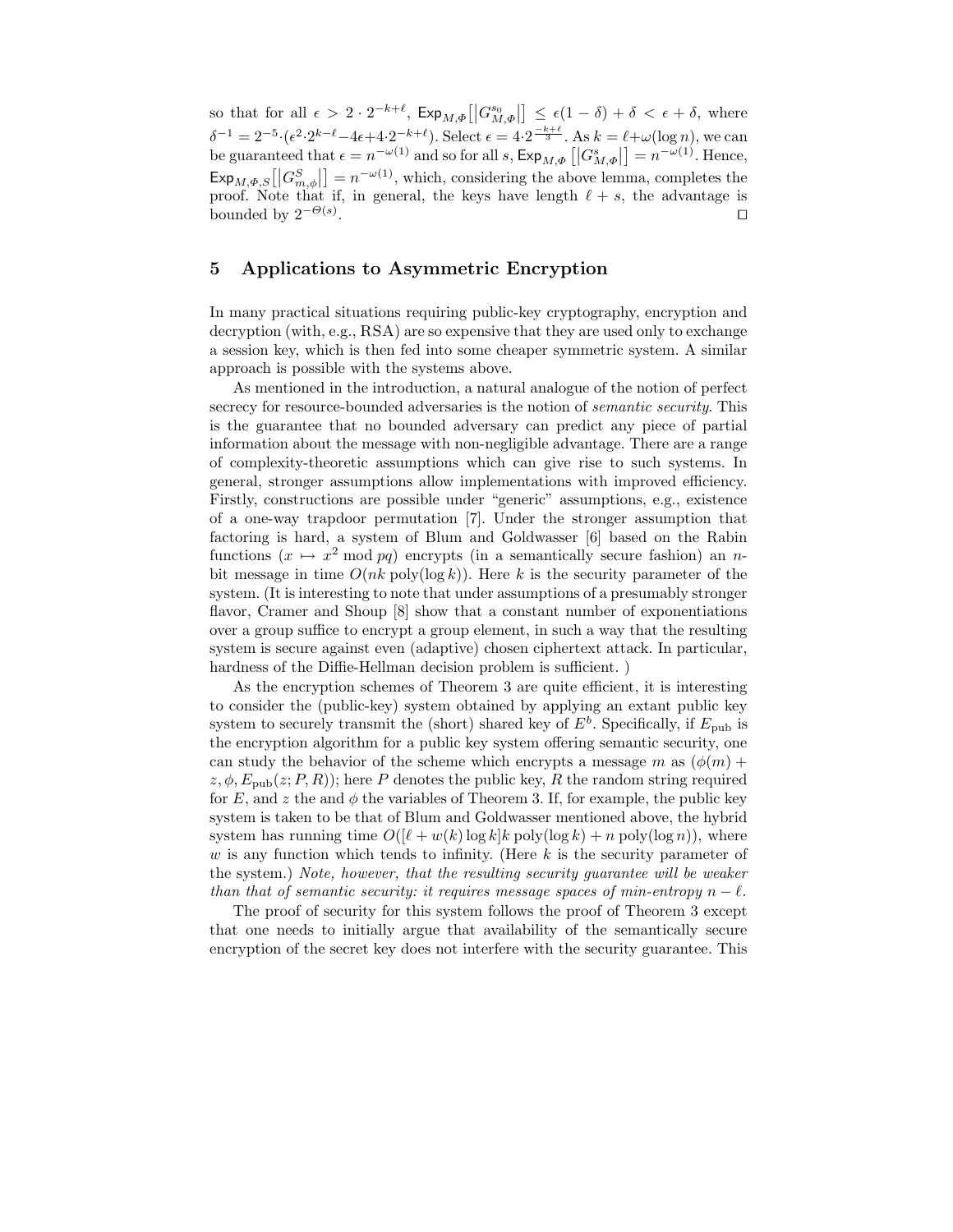so that for all  $\epsilon > 2 \cdot 2^{-k+\ell}$ ,  $\exp_{M,\Phi}[[G_{M,\Phi}^{s_0}]] \leq \epsilon(1-\delta) + \delta < \epsilon + \delta$ , where  $\delta^{-1} = 2^{-5} \cdot (\epsilon^2 \cdot 2^{k-\ell} - 4\epsilon + 4 \cdot 2^{-k+\ell})$ . Select  $\epsilon = 4 \cdot 2^{-\frac{k+\ell}{3}}$ . As  $k = \ell + \omega(\log n)$ , we can be guaranteed that  $\epsilon = n^{-\omega(1)}$  and so for all s,  $\exp_{M,\Phi} [G_{M,\Phi}^s] = n^{-\omega(1)}$ . Hence,  $\text{Exp}_{M,\Phi,S}\left[\left|G_{m,\phi}^{S}\right|\right] = n^{-\omega(1)}$ , which, considering the above lemma, completes the proof. Note that if, in general, the keys have length  $\ell + s$ , the advantage is bounded by  $2^{-\Theta(s)}$ . The contract of the contract of the contract of the contract of the contract of the contract of the contract of the contract of the contract of the contract of the contract of the contract of the contract of the contract

## 5 Applications to Asymmetric Encryption

In many practical situations requiring public-key cryptography, encryption and decryption (with, e.g., RSA) are so expensive that they are used only to exchange a session key, which is then fed into some cheaper symmetric system. A similar approach is possible with the systems above.

As mentioned in the introduction, a natural analogue of the notion of perfect secrecy for resource-bounded adversaries is the notion of *semantic security*. This is the guarantee that no bounded adversary can predict any piece of partial information about the message with non-negligible advantage. There are a range of complexity-theoretic assumptions which can give rise to such systems. In general, stronger assumptions allow implementations with improved efficiency. Firstly, constructions are possible under "generic" assumptions, e.g., existence of a one-way trapdoor permutation [7]. Under the stronger assumption that factoring is hard, a system of Blum and Goldwasser [6] based on the Rabin functions  $(x \mapsto x^2 \mod pq)$  encrypts (in a semantically secure fashion) an nbit message in time  $O(nk \text{ poly}(\log k))$ . Here k is the security parameter of the system. (It is interesting to note that under assumptions of a presumably stronger flavor, Cramer and Shoup [8] show that a constant number of exponentiations over a group suffice to encrypt a group element, in such a way that the resulting system is secure against even (adaptive) chosen ciphertext attack. In particular, hardness of the Diffie-Hellman decision problem is sufficient.

As the encryption schemes of Theorem 3 are quite efficient, it is interesting to consider the (public-key) system obtained by applying an extant public key system to securely transmit the (short) shared key of  $E^b$ . Specifically, if  $E_{\text{pub}}$  is the encryption algorithm for a public key system offering semantic security, one can study the behavior of the scheme which encrypts a message m as  $(\phi(m) +$  $z, \phi, E_{\text{pub}}(z; P, R)$ ; here P denotes the public key, R the random string required for E, and z the and  $\phi$  the variables of Theorem 3. If, for example, the public key system is taken to be that of Blum and Goldwasser mentioned above, the hybrid system has running time  $O((\ell + w(k)\log k)k \text{ poly}(\log k) + n \text{ poly}(\log n))$ , where w is any function which tends to infinity. (Here  $k$  is the security parameter of the system.) Note, however, that the resulting security guarantee will be weaker than that of semantic security: it requires message spaces of min-entropy  $n - \ell$ .

The proof of security for this system follows the proof of Theorem 3 except that one needs to initially argue that availability of the semantically secure encryption of the secret key does not interfere with the security guarantee. This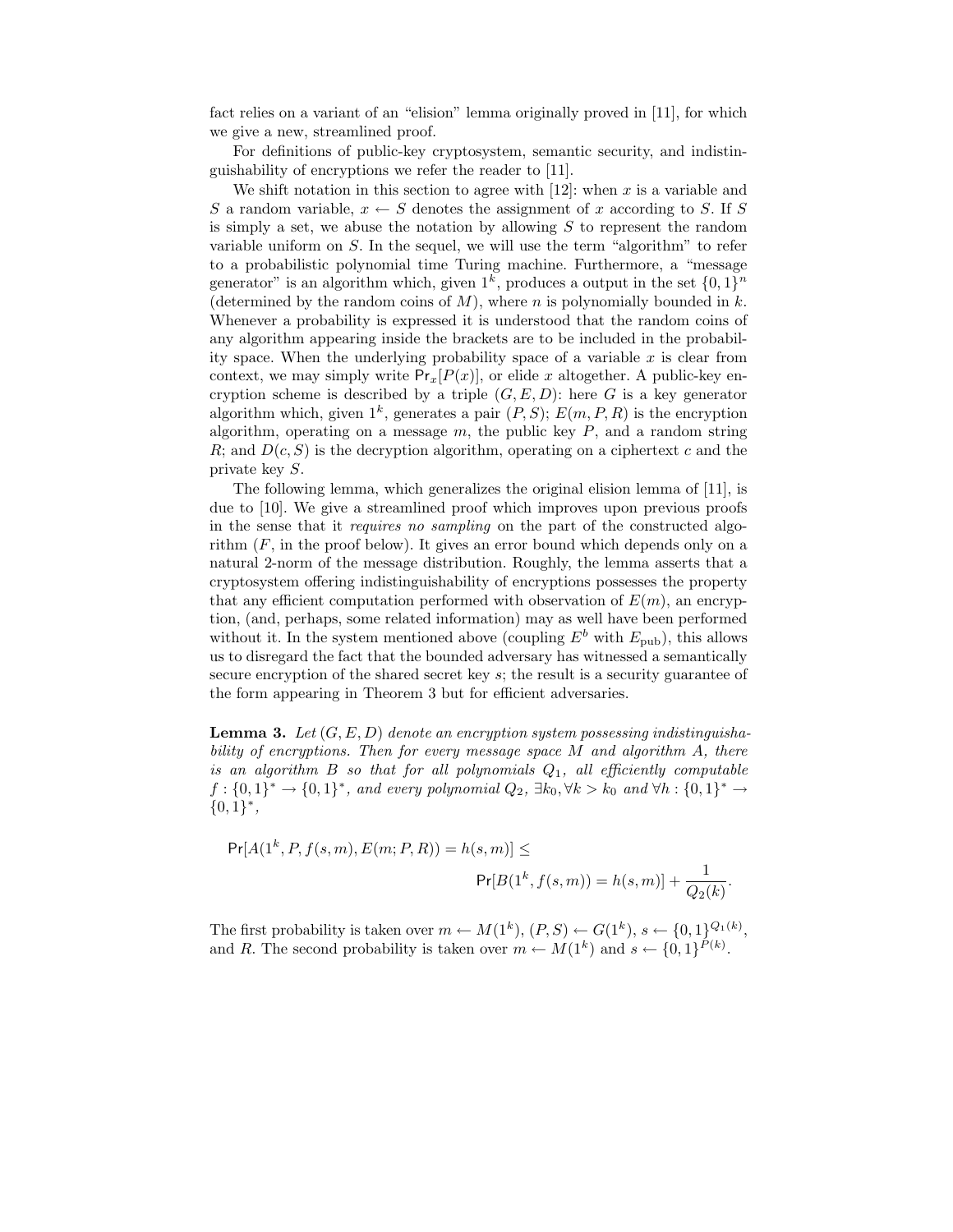fact relies on a variant of an "elision" lemma originally proved in [11], for which we give a new, streamlined proof.

For definitions of public-key cryptosystem, semantic security, and indistinguishability of encryptions we refer the reader to [11].

We shift notation in this section to agree with  $[12]$ : when x is a variable and S a random variable,  $x \leftarrow S$  denotes the assignment of x according to S. If S is simply a set, we abuse the notation by allowing  $S$  to represent the random variable uniform on S. In the sequel, we will use the term "algorithm" to refer to a probabilistic polynomial time Turing machine. Furthermore, a "message generator" is an algorithm which, given  $1^k$ , produces a output in the set  $\{0,1\}^n$ (determined by the random coins of  $M$ ), where n is polynomially bounded in k. Whenever a probability is expressed it is understood that the random coins of any algorithm appearing inside the brackets are to be included in the probability space. When the underlying probability space of a variable  $x$  is clear from context, we may simply write  $Pr_x[P(x)]$ , or elide x altogether. A public-key encryption scheme is described by a triple  $(G, E, D)$ : here G is a key generator algorithm which, given  $1^k$ , generates a pair  $(P, S)$ ;  $E(m, P, R)$  is the encryption algorithm, operating on a message  $m$ , the public key  $P$ , and a random string R; and  $D(c, S)$  is the decryption algorithm, operating on a ciphertext c and the private key S.

The following lemma, which generalizes the original elision lemma of [11], is due to [10]. We give a streamlined proof which improves upon previous proofs in the sense that it requires no sampling on the part of the constructed algorithm  $(F, \text{ in the proof below})$ . It gives an error bound which depends only on a natural 2-norm of the message distribution. Roughly, the lemma asserts that a cryptosystem offering indistinguishability of encryptions possesses the property that any efficient computation performed with observation of  $E(m)$ , an encryption, (and, perhaps, some related information) may as well have been performed without it. In the system mentioned above (coupling  $E^b$  with  $E_{\text{pub}}$ ), this allows us to disregard the fact that the bounded adversary has witnessed a semantically secure encryption of the shared secret key s; the result is a security guarantee of the form appearing in Theorem 3 but for efficient adversaries.

**Lemma 3.** Let  $(G, E, D)$  denote an encryption system possessing indistinguishability of encryptions. Then for every message space M and algorithm A, there is an algorithm  $B$  so that for all polynomials  $Q_1$ , all efficiently computable  $f: \{0,1\}^* \to \{0,1\}^*$ , and every polynomial  $Q_2$ ,  $\exists k_0, \forall k > k_0$  and  $\forall h: \{0,1\}^* \to$  ${0,1}^*,$ 

$$
\Pr[A(1^k, P, f(s, m), E(m; P, R)) = h(s, m)] \le
$$
  
 
$$
\Pr[B(1^k, f(s, m)) = h(s, m)] + \frac{1}{Q_2(k)}.
$$

The first probability is taken over  $m \leftarrow M(1^k)$ ,  $(P, S) \leftarrow G(1^k)$ ,  $s \leftarrow \{0, 1\}^{Q_1(k)}$ , and R. The second probability is taken over  $m \leftarrow M(1^k)$  and  $s \leftarrow \{0,1\}^{P(k)}$ .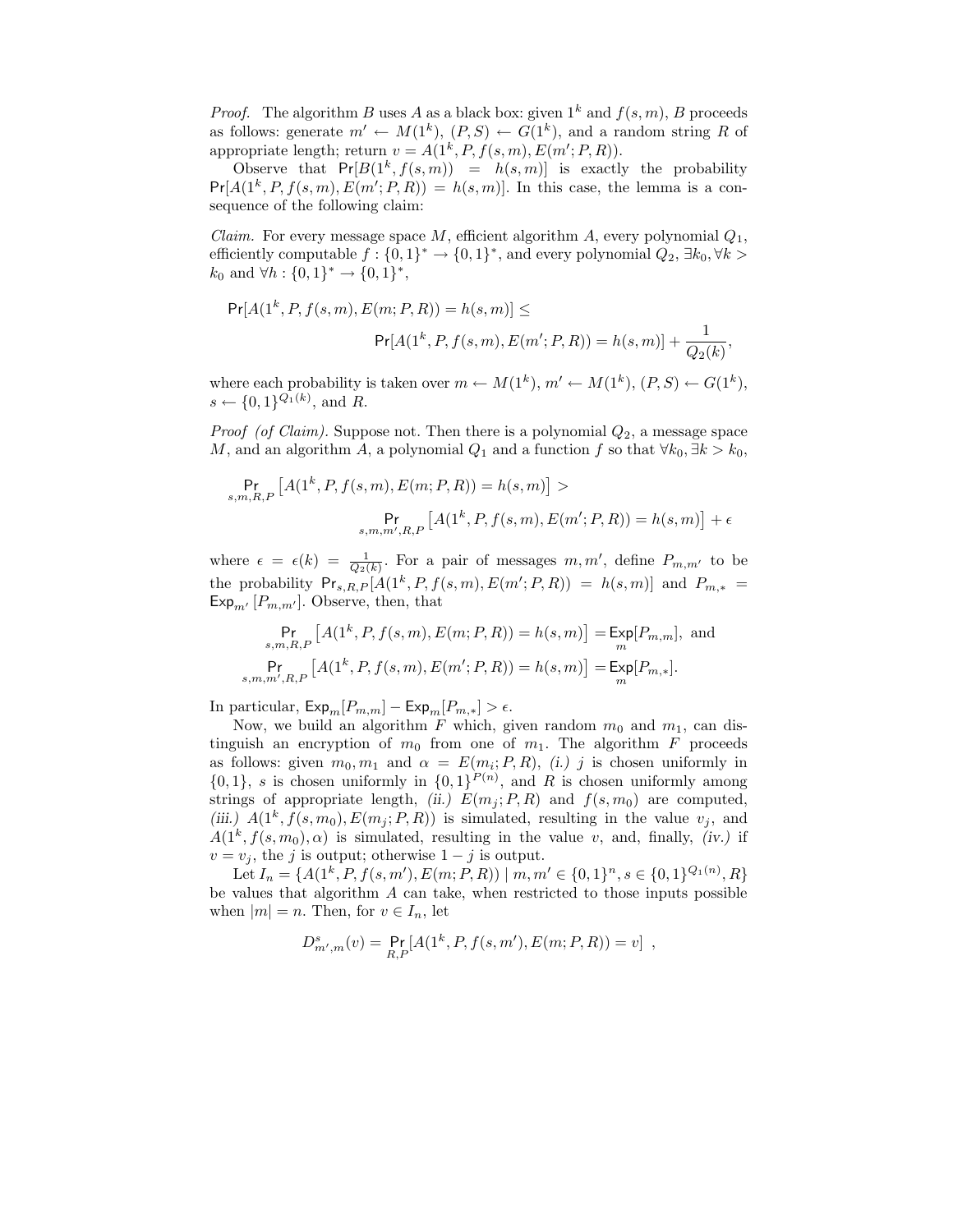*Proof.* The algorithm B uses A as a black box: given  $1^k$  and  $f(s, m)$ , B proceeds as follows: generate  $m' \leftarrow M(1^k)$ ,  $(P, S) \leftarrow G(1^k)$ , and a random string R of appropriate length; return  $v = A(1^k, P, f(s, m), E(m'; P, R)).$ 

Observe that  $Pr[B(1^k, f(s, m))] = h(s, m)]$  is exactly the probability  $Pr[A(1^k, P, f(s, m), E(m'; P, R)) = h(s, m)].$  In this case, the lemma is a consequence of the following claim:

*Claim.* For every message space M, efficient algorithm A, every polynomial  $Q_1$ , efficiently computable  $f: \{0,1\}^* \to \{0,1\}^*$ , and every polynomial  $Q_2$ ,  $\exists k_0, \forall k >$  $k_0$  and  $\forall h: \{0,1\}^* \to \{0,1\}^*,$ 

$$
\Pr[A(1^k, P, f(s, m), E(m; P, R)) = h(s, m)] \le
$$
  
 
$$
\Pr[A(1^k, P, f(s, m), E(m'; P, R)) = h(s, m)] + \frac{1}{Q_2(k)},
$$

where each probability is taken over  $m \leftarrow M(1^k)$ ,  $m' \leftarrow M(1^k)$ ,  $(P, S) \leftarrow G(1^k)$ ,  $s \leftarrow \{0, 1\}^{Q_1(k)}$ , and R.

*Proof (of Claim)*. Suppose not. Then there is a polynomial  $Q_2$ , a message space M, and an algorithm A, a polynomial  $Q_1$  and a function f so that  $\forall k_0, \exists k > k_0$ ,

$$
\Pr_{s,m,R,P} \left[ A(1^k, P, f(s, m), E(m; P, R)) = h(s, m) \right] >
$$
\n
$$
\Pr_{s,m,m',R,P} \left[ A(1^k, P, f(s, m), E(m'; P, R)) = h(s, m) \right] + \epsilon
$$

where  $\epsilon = \epsilon(k) = \frac{1}{Q_2(k)}$ . For a pair of messages  $m, m'$ , define  $P_{m,m'}$  to be the probability  $Pr_{s,R,P}[A(1^k, P, f(s,m), E(m';P,R)) = h(s,m)]$  and  $P_{m,*}$  $Exp_{m'}[P_{m,m'}]$ . Observe, then, that

$$
\Pr_{s,m,R,P} [A(1^k, P, f(s, m), E(m; P, R)) = h(s, m)] = \text{Exp}[P_{m,m}], \text{ and}
$$
  

$$
\Pr_{s,m,m',R,P} [A(1^k, P, f(s, m), E(m'; P, R)) = h(s, m)] = \text{Exp}[P_{m,*}].
$$

In particular,  $\text{Exp}_m[P_{m,m}] - \text{Exp}_m[P_{m,*}] > \epsilon$ .

Now, we build an algorithm F which, given random  $m_0$  and  $m_1$ , can distinguish an encryption of  $m_0$  from one of  $m_1$ . The algorithm F proceeds as follows: given  $m_0, m_1$  and  $\alpha = E(m_i; P, R)$ , (i.) j is chosen uniformly in  $\{0,1\}$ , s is chosen uniformly in  $\{0,1\}^{P(n)}$ , and R is chosen uniformly among strings of appropriate length, (ii.)  $E(m_i; P, R)$  and  $f(s, m_0)$  are computed, (iii.)  $A(1^k, f(s, m_0), E(m_j; P, R))$  is simulated, resulting in the value  $v_j$ , and  $A(1^k, f(s, m_0), \alpha)$  is simulated, resulting in the value v, and, finally, (iv.) if  $v = v_j$ , the j is output; otherwise  $1 - j$  is output.

Let  $I_n = \{A(1^k, P, f(s, m'), E(m; P, R)) \mid m, m' \in \{0, 1\}^n, s \in \{0, 1\}^{Q_1(n)}, R\}$ be values that algorithm A can take, when restricted to those inputs possible when  $|m| = n$ . Then, for  $v \in I_n$ , let

$$
D^s_{m',m}(v) = \Pr_{R,P}[A(1^k, P, f(s, m'), E(m; P, R)) = v] ,
$$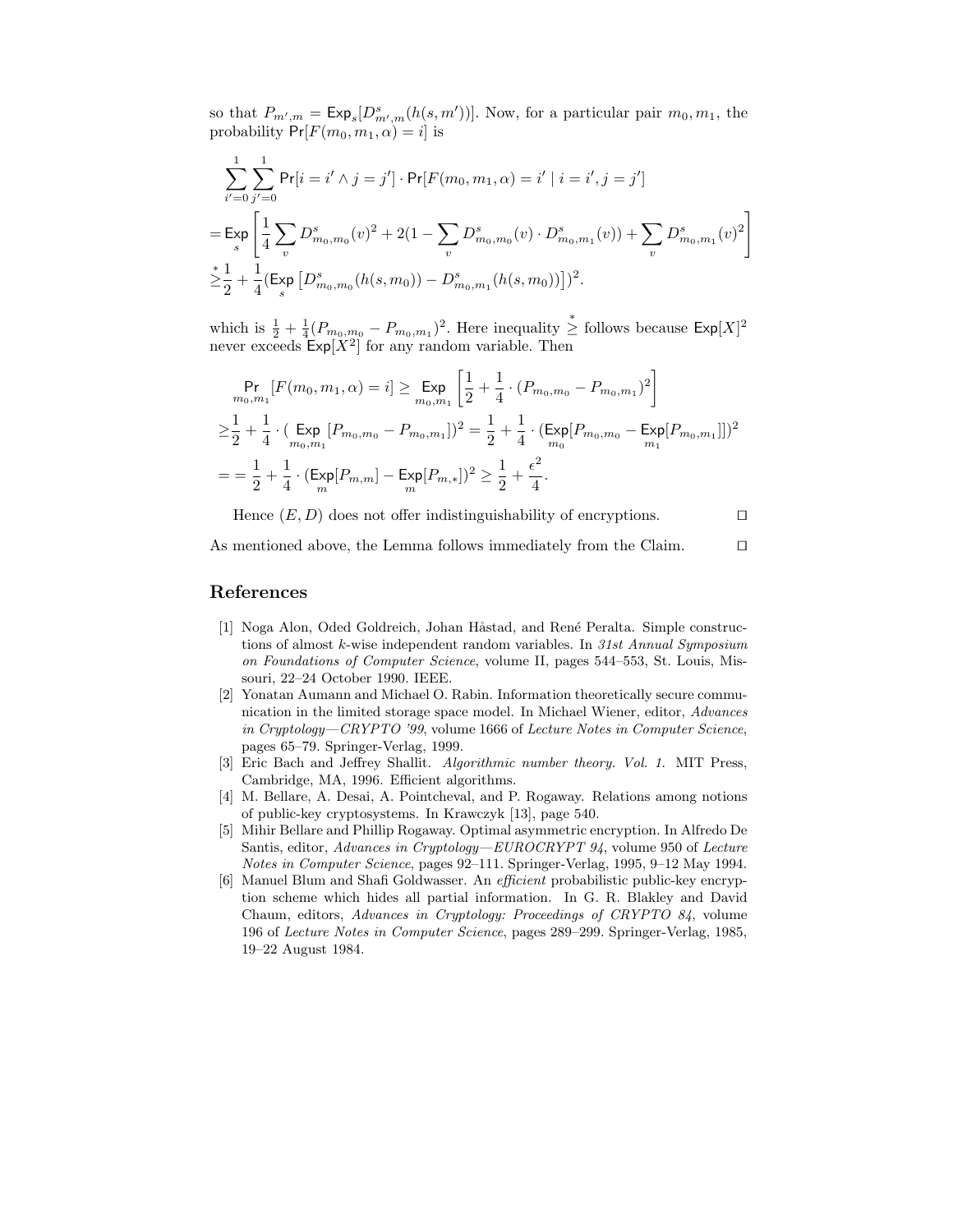so that  $P_{m',m} = \text{Exp}_s[D^s_{m',m}(h(s,m'))]$ . Now, for a particular pair  $m_0, m_1$ , the probability  $Pr[F(m_0, m_1, \alpha) = i]$  is

$$
\sum_{i'=0}^{1} \sum_{j'=0}^{1} \Pr[i=i' \land j=j'] \cdot \Pr[F(m_0, m_1, \alpha) = i' | i = i', j = j']
$$
  
=  $\mathsf{Exp}\left[\frac{1}{4} \sum_{v} D^s_{m_0, m_0}(v)^2 + 2(1 - \sum_{v} D^s_{m_0, m_0}(v) \cdot D^s_{m_0, m_1}(v)) + \sum_{v} D^s_{m_0, m_1}(v)^2\right]$   
 $\geq \frac{1}{2} + \frac{1}{4} (\mathsf{Exp}\left[D^s_{m_0, m_0}(h(s, m_0)) - D^s_{m_0, m_1}(h(s, m_0))\right])^2.$ 

which is  $\frac{1}{2} + \frac{1}{4}(P_{m_0,m_0} - P_{m_0,m_1})^2$ . Here inequality  $\geq$  follows because  $\text{Exp}[X]^2$ never exceeds  $\mathsf{Exp}[X^2]$  for any random variable. Then

$$
\Pr_{m_0, m_1} [F(m_0, m_1, \alpha) = i] \ge \operatorname{Exp}_{m_0, m_1} \left[ \frac{1}{2} + \frac{1}{4} \cdot (P_{m_0, m_0} - P_{m_0, m_1})^2 \right]
$$
\n
$$
\ge \frac{1}{2} + \frac{1}{4} \cdot (\operatorname{Exp} [P_{m_0, m_0} - P_{m_0, m_1}])^2 = \frac{1}{2} + \frac{1}{4} \cdot (\operatorname{Exp} [P_{m_0, m_0} - \operatorname{Exp} [P_{m_0, m_1}]])^2
$$
\n
$$
= \frac{1}{2} + \frac{1}{4} \cdot (\operatorname{Exp} [P_{m, m}] - \operatorname{Exp} [P_{m, *}])^2 \ge \frac{1}{2} + \frac{\epsilon^2}{4}.
$$

Hence  $(E, D)$  does not offer indistinguishability of encryptions.

As mentioned above, the Lemma follows immediately from the Claim.  $\Box$ 

## References

- [1] Noga Alon, Oded Goldreich, Johan Håstad, and René Peralta. Simple constructions of almost k-wise independent random variables. In 31st Annual Symposium on Foundations of Computer Science, volume II, pages 544–553, St. Louis, Missouri, 22–24 October 1990. IEEE.
- [2] Yonatan Aumann and Michael O. Rabin. Information theoretically secure communication in the limited storage space model. In Michael Wiener, editor, Advances in Cryptology—CRYPTO '99, volume 1666 of Lecture Notes in Computer Science, pages 65–79. Springer-Verlag, 1999.
- [3] Eric Bach and Jeffrey Shallit. Algorithmic number theory. Vol. 1. MIT Press, Cambridge, MA, 1996. Efficient algorithms.
- [4] M. Bellare, A. Desai, A. Pointcheval, and P. Rogaway. Relations among notions of public-key cryptosystems. In Krawczyk [13], page 540.
- [5] Mihir Bellare and Phillip Rogaway. Optimal asymmetric encryption. In Alfredo De Santis, editor, Advances in Cryptology-EUROCRYPT 94, volume 950 of Lecture Notes in Computer Science, pages 92–111. Springer-Verlag, 1995, 9–12 May 1994.
- [6] Manuel Blum and Shafi Goldwasser. An efficient probabilistic public-key encryption scheme which hides all partial information. In G. R. Blakley and David Chaum, editors, Advances in Cryptology: Proceedings of CRYPTO 84, volume 196 of Lecture Notes in Computer Science, pages 289–299. Springer-Verlag, 1985, 19–22 August 1984.